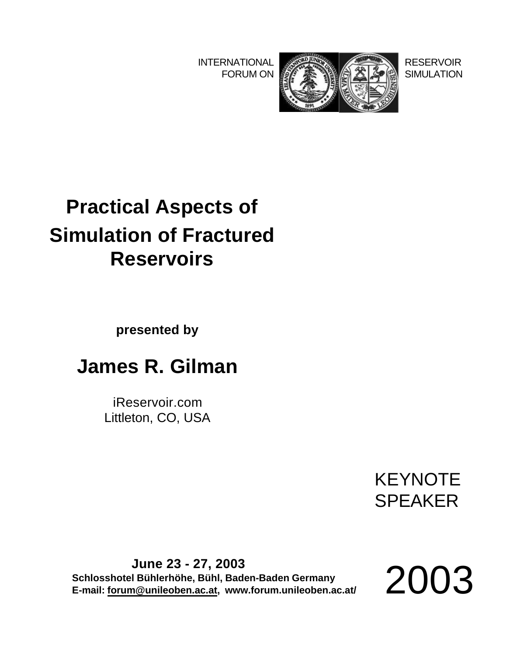INTERNATIONAL FORUM ON



**RESERVOIR** SIMULATION

# **Practical Aspects of Simulation of Fractured Reservoirs**

**presented by**

# **James R. Gilman**

iReservoir.com Littleton, CO, USA

> **KEYNOTE** SPEAKER

> > 2003

**June 23 - 27, 2003 Schlosshotel Bühlerhöhe, Bühl, Baden-Baden Germany E-mail: forum@unileoben.ac.at, www.forum.unileoben.ac.at/**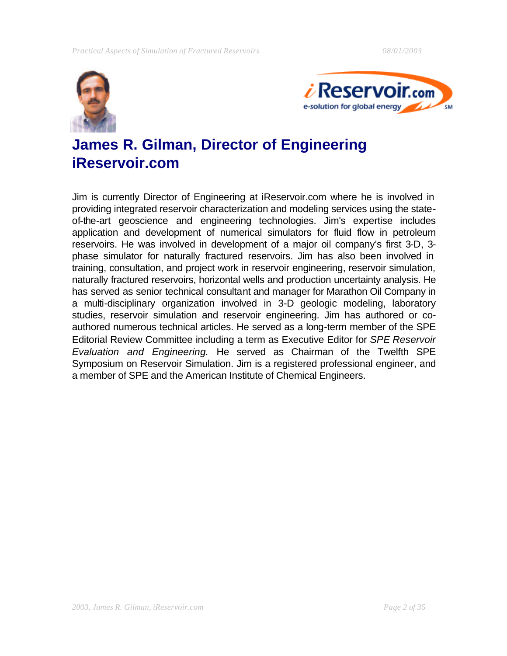



## **James R. Gilman, Director of Engineering iReservoir.com**

Jim is currently Director of Engineering at iReservoir.com where he is involved in providing integrated reservoir characterization and modeling services using the stateof-the-art geoscience and engineering technologies. Jim's expertise includes application and development of numerical simulators for fluid flow in petroleum reservoirs. He was involved in development of a major oil company's first 3-D, 3 phase simulator for naturally fractured reservoirs. Jim has also been involved in training, consultation, and project work in reservoir engineering, reservoir simulation, naturally fractured reservoirs, horizontal wells and production uncertainty analysis. He has served as senior technical consultant and manager for Marathon Oil Company in a multi-disciplinary organization involved in 3-D geologic modeling, laboratory studies, reservoir simulation and reservoir engineering. Jim has authored or coauthored numerous technical articles. He served as a long-term member of the SPE Editorial Review Committee including a term as Executive Editor for *SPE Reservoir Evaluation and Engineering.* He served as Chairman of the Twelfth SPE Symposium on Reservoir Simulation. Jim is a registered professional engineer, and a member of SPE and the American Institute of Chemical Engineers.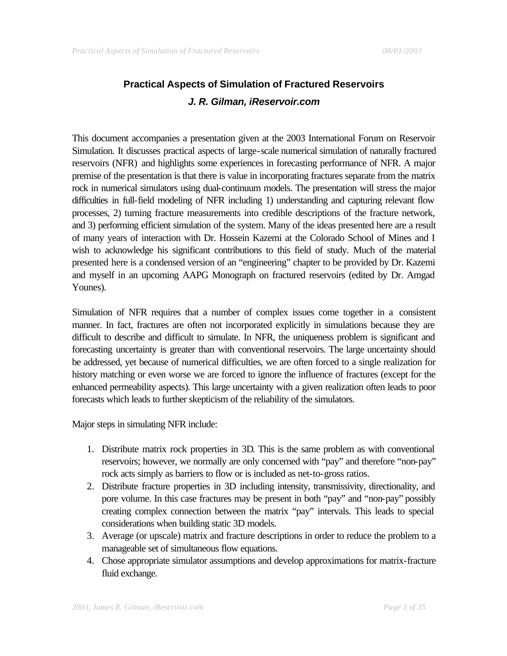## **Practical Aspects of Simulation of Fractured Reservoirs** *J. R. Gilman, iReservoir.com*

This document accompanies a presentation given at the 2003 International Forum on Reservoir Simulation. It discusses practical aspects of large-scale numerical simulation of naturally fractured reservoirs (NFR) and highlights some experiences in forecasting performance of NFR. A major premise of the presentation is that there is value in incorporating fractures separate from the matrix rock in numerical simulators using dual-continuum models. The presentation will stress the major difficulties in full-field modeling of NFR including 1) understanding and capturing relevant flow processes, 2) turning fracture measurements into credible descriptions of the fracture network, and 3) performing efficient simulation of the system. Many of the ideas presented here are a result of many years of interaction with Dr. Hossein Kazemi at the Colorado School of Mines and I wish to acknowledge his significant contributions to this field of study. Much of the material presented here is a condensed version of an "engineering" chapter to be provided by Dr. Kazemi and myself in an upcoming AAPG Monograph on fractured reservoirs (edited by Dr. Amgad Younes).

Simulation of NFR requires that a number of complex issues come together in a consistent manner. In fact, fractures are often not incorporated explicitly in simulations because they are difficult to describe and difficult to simulate. In NFR, the uniqueness problem is significant and forecasting uncertainty is greater than with conventional reservoirs. The large uncertainty should be addressed, yet because of numerical difficulties, we are often forced to a single realization for history matching or even worse we are forced to ignore the influence of fractures (except for the enhanced permeability aspects). This large uncertainty with a given realization often leads to poor forecasts which leads to further skepticism of the reliability of the simulators.

Major steps in simulating NFR include:

- 1. Distribute matrix rock properties in 3D. This is the same problem as with conventional reservoirs; however, we normally are only concerned with "pay" and therefore "non-pay" rock acts simply as barriers to flow or is included as net-to-gross ratios.
- 2. Distribute fracture properties in 3D including intensity, transmissivity, directionality, and pore volume. In this case fractures may be present in both "pay" and "non-pay" possibly creating complex connection between the matrix "pay" intervals. This leads to special considerations when building static 3D models.
- 3. Average (or upscale) matrix and fracture descriptions in order to reduce the problem to a manageable set of simultaneous flow equations.
- 4. Chose appropriate simulator assumptions and develop approximations for matrix-fracture fluid exchange.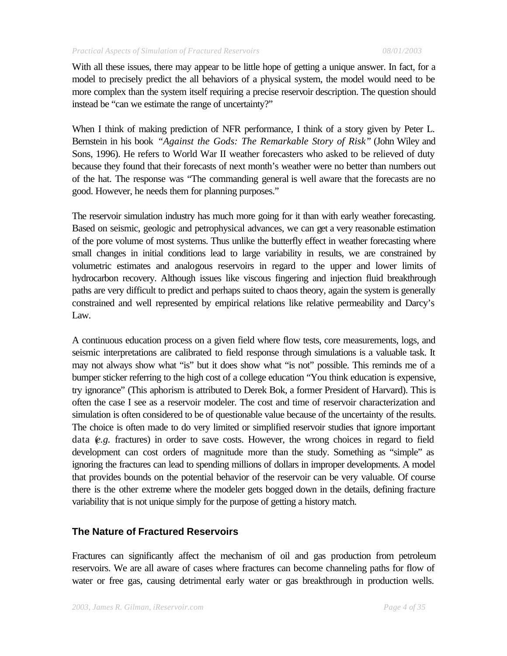With all these issues, there may appear to be little hope of getting a unique answer. In fact, for a model to precisely predict the all behaviors of a physical system, the model would need to be more complex than the system itself requiring a precise reservoir description. The question should instead be "can we estimate the range of uncertainty?"

When I think of making prediction of NFR performance, I think of a story given by Peter L. Bernstein in his book *"Against the Gods: The Remarkable Story of Risk"* (John Wiley and Sons, 1996). He refers to World War II weather forecasters who asked to be relieved of duty because they found that their forecasts of next month's weather were no better than numbers out of the hat. The response was "The commanding general is well aware that the forecasts are no good. However, he needs them for planning purposes."

The reservoir simulation industry has much more going for it than with early weather forecasting. Based on seismic, geologic and petrophysical advances, we can get a very reasonable estimation of the pore volume of most systems. Thus unlike the butterfly effect in weather forecasting where small changes in initial conditions lead to large variability in results, we are constrained by volumetric estimates and analogous reservoirs in regard to the upper and lower limits of hydrocarbon recovery. Although issues like viscous fingering and injection fluid breakthrough paths are very difficult to predict and perhaps suited to chaos theory, again the system is generally constrained and well represented by empirical relations like relative permeability and Darcy's Law.

A continuous education process on a given field where flow tests, core measurements, logs, and seismic interpretations are calibrated to field response through simulations is a valuable task. It may not always show what "is" but it does show what "is not" possible. This reminds me of a bumper sticker referring to the high cost of a college education "You think education is expensive, try ignorance" (This aphorism is attributed to Derek Bok, a former President of Harvard). This is often the case I see as a reservoir modeler. The cost and time of reservoir characterization and simulation is often considered to be of questionable value because of the uncertainty of the results. The choice is often made to do very limited or simplified reservoir studies that ignore important data (*e.g.* fractures) in order to save costs. However, the wrong choices in regard to field development can cost orders of magnitude more than the study. Something as "simple" as ignoring the fractures can lead to spending millions of dollars in improper developments. A model that provides bounds on the potential behavior of the reservoir can be very valuable. Of course there is the other extreme where the modeler gets bogged down in the details, defining fracture variability that is not unique simply for the purpose of getting a history match.

#### **The Nature of Fractured Reservoirs**

Fractures can significantly affect the mechanism of oil and gas production from petroleum reservoirs. We are all aware of cases where fractures can become channeling paths for flow of water or free gas, causing detrimental early water or gas breakthrough in production wells.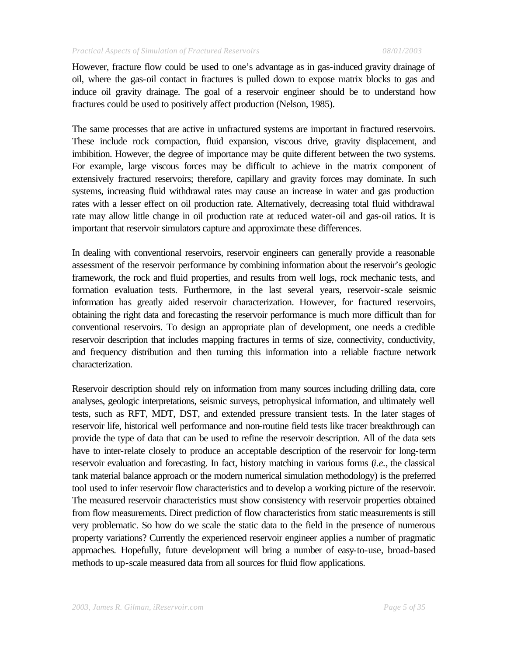However, fracture flow could be used to one's advantage as in gas-induced gravity drainage of oil, where the gas-oil contact in fractures is pulled down to expose matrix blocks to gas and induce oil gravity drainage. The goal of a reservoir engineer should be to understand how fractures could be used to positively affect production (Nelson, 1985).

The same processes that are active in unfractured systems are important in fractured reservoirs. These include rock compaction, fluid expansion, viscous drive, gravity displacement, and imbibition. However, the degree of importance may be quite different between the two systems. For example, large viscous forces may be difficult to achieve in the matrix component of extensively fractured reservoirs; therefore, capillary and gravity forces may dominate. In such systems, increasing fluid withdrawal rates may cause an increase in water and gas production rates with a lesser effect on oil production rate. Alternatively, decreasing total fluid withdrawal rate may allow little change in oil production rate at reduced water-oil and gas-oil ratios. It is important that reservoir simulators capture and approximate these differences.

In dealing with conventional reservoirs, reservoir engineers can generally provide a reasonable assessment of the reservoir performance by combining information about the reservoir's geologic framework, the rock and fluid properties, and results from well logs, rock mechanic tests, and formation evaluation tests. Furthermore, in the last several years, reservoir-scale seismic information has greatly aided reservoir characterization. However, for fractured reservoirs, obtaining the right data and forecasting the reservoir performance is much more difficult than for conventional reservoirs. To design an appropriate plan of development, one needs a credible reservoir description that includes mapping fractures in terms of size, connectivity, conductivity, and frequency distribution and then turning this information into a reliable fracture network characterization.

Reservoir description should rely on information from many sources including drilling data, core analyses, geologic interpretations, seismic surveys, petrophysical information, and ultimately well tests, such as RFT, MDT, DST, and extended pressure transient tests. In the later stages of reservoir life, historical well performance and non-routine field tests like tracer breakthrough can provide the type of data that can be used to refine the reservoir description. All of the data sets have to inter-relate closely to produce an acceptable description of the reservoir for long-term reservoir evaluation and forecasting. In fact, history matching in various forms (*i.e.*, the classical tank material balance approach or the modern numerical simulation methodology) is the preferred tool used to infer reservoir flow characteristics and to develop a working picture of the reservoir. The measured reservoir characteristics must show consistency with reservoir properties obtained from flow measurements. Direct prediction of flow characteristics from static measurements is still very problematic. So how do we scale the static data to the field in the presence of numerous property variations? Currently the experienced reservoir engineer applies a number of pragmatic approaches. Hopefully, future development will bring a number of easy-to-use, broad-based methods to up-scale measured data from all sources for fluid flow applications.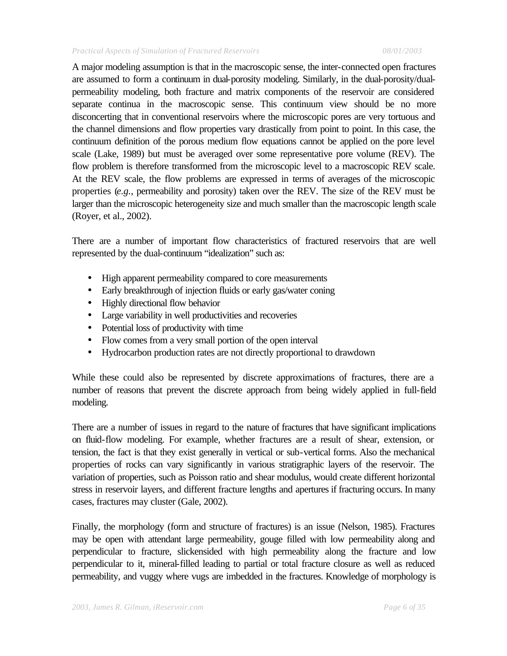A major modeling assumption is that in the macroscopic sense, the inter-connected open fractures are assumed to form a continuum in dual-porosity modeling. Similarly, in the dual-porosity/dualpermeability modeling, both fracture and matrix components of the reservoir are considered separate continua in the macroscopic sense. This continuum view should be no more disconcerting that in conventional reservoirs where the microscopic pores are very tortuous and the channel dimensions and flow properties vary drastically from point to point. In this case, the continuum definition of the porous medium flow equations cannot be applied on the pore level scale (Lake, 1989) but must be averaged over some representative pore volume (REV). The flow problem is therefore transformed from the microscopic level to a macroscopic REV scale. At the REV scale, the flow problems are expressed in terms of averages of the microscopic properties (*e.g.*, permeability and porosity) taken over the REV. The size of the REV must be larger than the microscopic heterogeneity size and much smaller than the macroscopic length scale (Royer, et al., 2002).

There are a number of important flow characteristics of fractured reservoirs that are well represented by the dual-continuum "idealization" such as:

- High apparent permeability compared to core measurements
- Early breakthrough of injection fluids or early gas/water coning
- Highly directional flow behavior
- Large variability in well productivities and recoveries
- Potential loss of productivity with time
- Flow comes from a very small portion of the open interval
- Hydrocarbon production rates are not directly proportional to drawdown

While these could also be represented by discrete approximations of fractures, there are a number of reasons that prevent the discrete approach from being widely applied in full-field modeling.

There are a number of issues in regard to the nature of fractures that have significant implications on fluid-flow modeling. For example, whether fractures are a result of shear, extension, or tension, the fact is that they exist generally in vertical or sub-vertical forms. Also the mechanical properties of rocks can vary significantly in various stratigraphic layers of the reservoir. The variation of properties, such as Poisson ratio and shear modulus, would create different horizontal stress in reservoir layers, and different fracture lengths and apertures if fracturing occurs. In many cases, fractures may cluster (Gale, 2002).

Finally, the morphology (form and structure of fractures) is an issue (Nelson, 1985). Fractures may be open with attendant large permeability, gouge filled with low permeability along and perpendicular to fracture, slickensided with high permeability along the fracture and low perpendicular to it, mineral-filled leading to partial or total fracture closure as well as reduced permeability, and vuggy where vugs are imbedded in the fractures. Knowledge of morphology is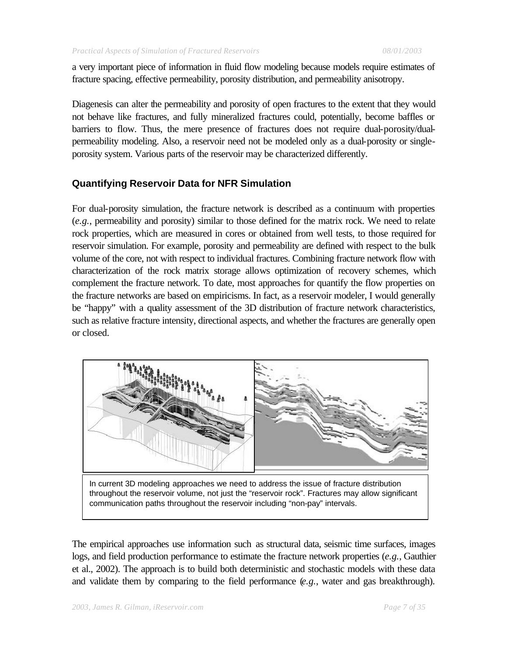a very important piece of information in fluid flow modeling because models require estimates of fracture spacing, effective permeability, porosity distribution, and permeability anisotropy.

Diagenesis can alter the permeability and porosity of open fractures to the extent that they would not behave like fractures, and fully mineralized fractures could, potentially, become baffles or barriers to flow. Thus, the mere presence of fractures does not require dual-porosity/dualpermeability modeling. Also, a reservoir need not be modeled only as a dual-porosity or singleporosity system. Various parts of the reservoir may be characterized differently.

### **Quantifying Reservoir Data for NFR Simulation**

For dual-porosity simulation, the fracture network is described as a continuum with properties (*e.g.*, permeability and porosity) similar to those defined for the matrix rock. We need to relate rock properties, which are measured in cores or obtained from well tests, to those required for reservoir simulation. For example, porosity and permeability are defined with respect to the bulk volume of the core, not with respect to individual fractures. Combining fracture network flow with characterization of the rock matrix storage allows optimization of recovery schemes, which complement the fracture network. To date, most approaches for quantify the flow properties on the fracture networks are based on empiricisms. In fact, as a reservoir modeler, I would generally be "happy" with a quality assessment of the 3D distribution of fracture network characteristics, such as relative fracture intensity, directional aspects, and whether the fractures are generally open or closed.



In current 3D modeling approaches we need to address the issue of fracture distribution throughout the reservoir volume, not just the "reservoir rock". Fractures may allow significant communication paths throughout the reservoir including "non-pay" intervals.

The empirical approaches use information such as structural data, seismic time surfaces, images logs, and field production performance to estimate the fracture network properties (*e.g.*, Gauthier et al., 2002). The approach is to build both deterministic and stochastic models with these data and validate them by comparing to the field performance (*e.g.*, water and gas breakthrough).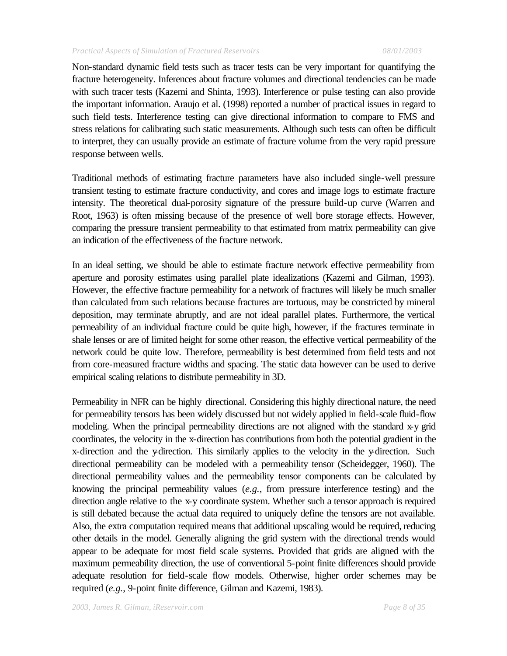Non-standard dynamic field tests such as tracer tests can be very important for quantifying the fracture heterogeneity. Inferences about fracture volumes and directional tendencies can be made with such tracer tests (Kazemi and Shinta, 1993). Interference or pulse testing can also provide the important information. Araujo et al. (1998) reported a number of practical issues in regard to such field tests. Interference testing can give directional information to compare to FMS and stress relations for calibrating such static measurements. Although such tests can often be difficult to interpret, they can usually provide an estimate of fracture volume from the very rapid pressure response between wells.

Traditional methods of estimating fracture parameters have also included single-well pressure transient testing to estimate fracture conductivity, and cores and image logs to estimate fracture intensity. The theoretical dual-porosity signature of the pressure build-up curve (Warren and Root, 1963) is often missing because of the presence of well bore storage effects. However, comparing the pressure transient permeability to that estimated from matrix permeability can give an indication of the effectiveness of the fracture network.

In an ideal setting, we should be able to estimate fracture network effective permeability from aperture and porosity estimates using parallel plate idealizations (Kazemi and Gilman, 1993). However, the effective fracture permeability for a network of fractures will likely be much smaller than calculated from such relations because fractures are tortuous, may be constricted by mineral deposition, may terminate abruptly, and are not ideal parallel plates. Furthermore, the vertical permeability of an individual fracture could be quite high, however, if the fractures terminate in shale lenses or are of limited height for some other reason, the effective vertical permeability of the network could be quite low. Therefore, permeability is best determined from field tests and not from core-measured fracture widths and spacing. The static data however can be used to derive empirical scaling relations to distribute permeability in 3D.

Permeability in NFR can be highly directional. Considering this highly directional nature, the need for permeability tensors has been widely discussed but not widely applied in field-scale fluid-flow modeling. When the principal permeability directions are not aligned with the standard x-y grid coordinates, the velocity in the x-direction has contributions from both the potential gradient in the x-direction and the y-direction. This similarly applies to the velocity in the y-direction. Such directional permeability can be modeled with a permeability tensor (Scheidegger, 1960). The directional permeability values and the permeability tensor components can be calculated by knowing the principal permeability values (*e.g.*, from pressure interference testing) and the direction angle relative to the x-y coordinate system. Whether such a tensor approach is required is still debated because the actual data required to uniquely define the tensors are not available. Also, the extra computation required means that additional upscaling would be required, reducing other details in the model. Generally aligning the grid system with the directional trends would appear to be adequate for most field scale systems. Provided that grids are aligned with the maximum permeability direction, the use of conventional 5-point finite differences should provide adequate resolution for field-scale flow models. Otherwise, higher order schemes may be required (*e.g.*, 9-point finite difference, Gilman and Kazemi, 1983).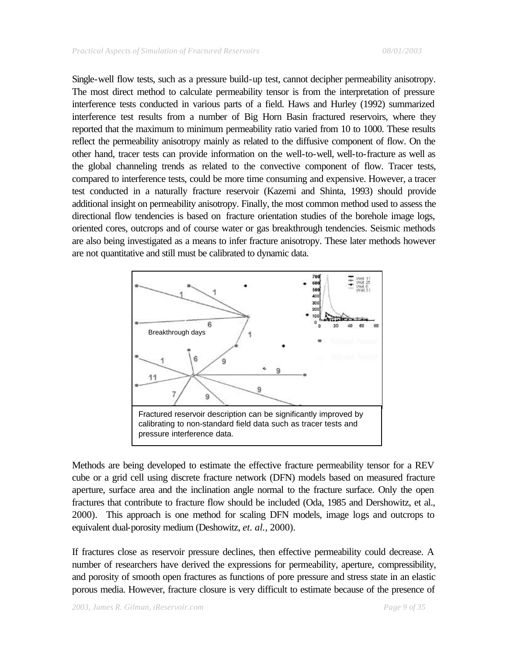Single-well flow tests, such as a pressure build-up test, cannot decipher permeability anisotropy. The most direct method to calculate permeability tensor is from the interpretation of pressure interference tests conducted in various parts of a field. Haws and Hurley (1992) summarized interference test results from a number of Big Horn Basin fractured reservoirs, where they reported that the maximum to minimum permeability ratio varied from 10 to 1000. These results reflect the permeability anisotropy mainly as related to the diffusive component of flow. On the other hand, tracer tests can provide information on the well-to-well, well-to-fracture as well as the global channeling trends as related to the convective component of flow. Tracer tests, compared to interference tests, could be more time consuming and expensive. However, a tracer test conducted in a naturally fracture reservoir (Kazemi and Shinta, 1993) should provide additional insight on permeability anisotropy. Finally, the most common method used to assess the directional flow tendencies is based on fracture orientation studies of the borehole image logs, oriented cores, outcrops and of course water or gas breakthrough tendencies. Seismic methods are also being investigated as a means to infer fracture anisotropy. These later methods however are not quantitative and still must be calibrated to dynamic data.



Methods are being developed to estimate the effective fracture permeability tensor for a REV cube or a grid cell using discrete fracture network (DFN) models based on measured fracture aperture, surface area and the inclination angle normal to the fracture surface. Only the open fractures that contribute to fracture flow should be included (Oda, 1985 and Dershowitz, et al., 2000). This approach is one method for scaling DFN models, image logs and outcrops to equivalent dual-porosity medium (Deshowitz, *et. al.,* 2000).

If fractures close as reservoir pressure declines, then effective permeability could decrease. A number of researchers have derived the expressions for permeability, aperture, compressibility, and porosity of smooth open fractures as functions of pore pressure and stress state in an elastic porous media. However, fracture closure is very difficult to estimate because of the presence of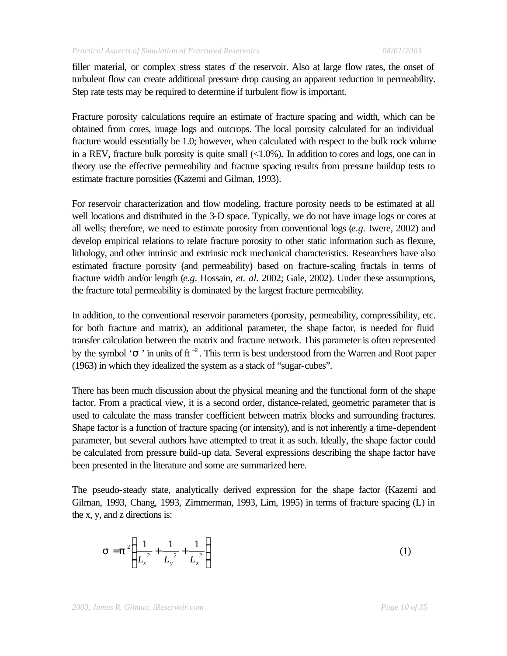filler material, or complex stress states of the reservoir. Also at large flow rates, the onset of turbulent flow can create additional pressure drop causing an apparent reduction in permeability. Step rate tests may be required to determine if turbulent flow is important.

Fracture porosity calculations require an estimate of fracture spacing and width, which can be obtained from cores, image logs and outcrops. The local porosity calculated for an individual fracture would essentially be 1.0; however, when calculated with respect to the bulk rock volume in a REV, fracture bulk porosity is quite small (<1.0%). In addition to cores and logs, one can in theory use the effective permeability and fracture spacing results from pressure buildup tests to estimate fracture porosities (Kazemi and Gilman, 1993).

For reservoir characterization and flow modeling, fracture porosity needs to be estimated at all well locations and distributed in the 3-D space. Typically, we do not have image logs or cores at all wells; therefore, we need to estimate porosity from conventional logs (*e.g.* Iwere, 2002) and develop empirical relations to relate fracture porosity to other static information such as flexure, lithology, and other intrinsic and extrinsic rock mechanical characteristics. Researchers have also estimated fracture porosity (and permeability) based on fracture-scaling fractals in terms of fracture width and/or length (*e.g.* Hossain, *et. al.* 2002; Gale, 2002). Under these assumptions, the fracture total permeability is dominated by the largest fracture permeability.

In addition, to the conventional reservoir parameters (porosity, permeability, compressibility, etc. for both fracture and matrix), an additional parameter, the shape factor, is needed for fluid transfer calculation between the matrix and fracture network. This parameter is often represented by the symbol 's in units of ft<sup>-2</sup>. This term is best understood from the Warren and Root paper (1963) in which they idealized the system as a stack of "sugar-cubes".

There has been much discussion about the physical meaning and the functional form of the shape factor. From a practical view, it is a second order, distance-related, geometric parameter that is used to calculate the mass transfer coefficient between matrix blocks and surrounding fractures. Shape factor is a function of fracture spacing (or intensity), and is not inherently a time-dependent parameter, but several authors have attempted to treat it as such. Ideally, the shape factor could be calculated from pressure build-up data. Several expressions describing the shape factor have been presented in the literature and some are summarized here.

The pseudo-steady state, analytically derived expression for the shape factor (Kazemi and Gilman, 1993, Chang, 1993, Zimmerman, 1993, Lim, 1995) in terms of fracture spacing (L) in the x, y, and z directions is:

$$
\mathbf{s} = \mathbf{p}^2 \left( \frac{1}{L_x^2} + \frac{1}{L_y^2} + \frac{1}{L_z^2} \right) \tag{1}
$$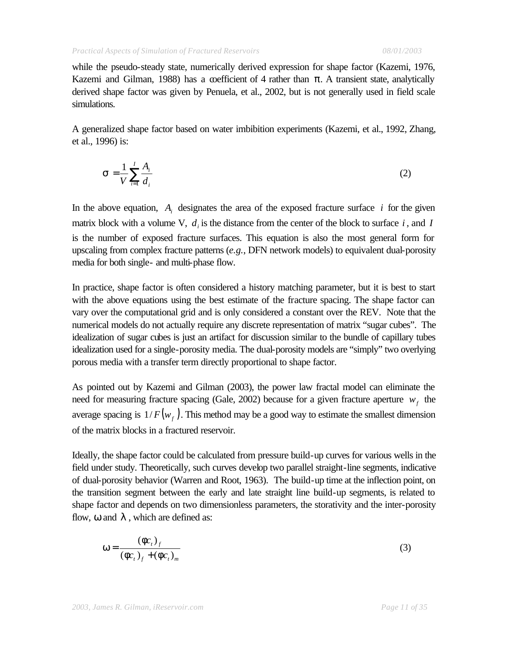while the pseudo-steady state, numerically derived expression for shape factor (Kazemi, 1976, Kazemi and Gilman, 1988) has a coefficient of 4 rather than  $\pi$ . A transient state, analytically derived shape factor was given by Penuela, et al., 2002, but is not generally used in field scale simulations.

A generalized shape factor based on water imbibition experiments (Kazemi, et al., 1992, Zhang, et al., 1996) is:

$$
\mathbf{S} = \frac{1}{V} \sum_{i=1}^{I} \frac{A_i}{d_i} \tag{2}
$$

In the above equation,  $A_i$  designates the area of the exposed fracture surface *i* for the given matrix block with a volume V,  $d_i$  is the distance from the center of the block to surface  $i$ , and *I* is the number of exposed fracture surfaces. This equation is also the most general form for upscaling from complex fracture patterns (*e.g.*, DFN network models) to equivalent dual-porosity media for both single- and multi-phase flow.

In practice, shape factor is often considered a history matching parameter, but it is best to start with the above equations using the best estimate of the fracture spacing. The shape factor can vary over the computational grid and is only considered a constant over the REV. Note that the numerical models do not actually require any discrete representation of matrix "sugar cubes". The idealization of sugar cubes is just an artifact for discussion similar to the bundle of capillary tubes idealization used for a single-porosity media. The dual-porosity models are "simply" two overlying porous media with a transfer term directly proportional to shape factor.

As pointed out by Kazemi and Gilman (2003), the power law fractal model can eliminate the need for measuring fracture spacing (Gale, 2002) because for a given fracture aperture  $w_f$  the average spacing is  $1/F(w_f)$ . This method may be a good way to estimate the smallest dimension of the matrix blocks in a fractured reservoir.

Ideally, the shape factor could be calculated from pressure build-up curves for various wells in the field under study. Theoretically, such curves develop two parallel straight-line segments, indicative of dual-porosity behavior (Warren and Root, 1963). The build-up time at the inflection point, on the transition segment between the early and late straight line build-up segments, is related to shape factor and depends on two dimensionless parameters, the storativity and the inter-porosity flow, *w* and *l* , which are defined as:

$$
w = \frac{(fc_{t})_f}{(fc_{t})_f + (fc_{t})_m}
$$
 (3)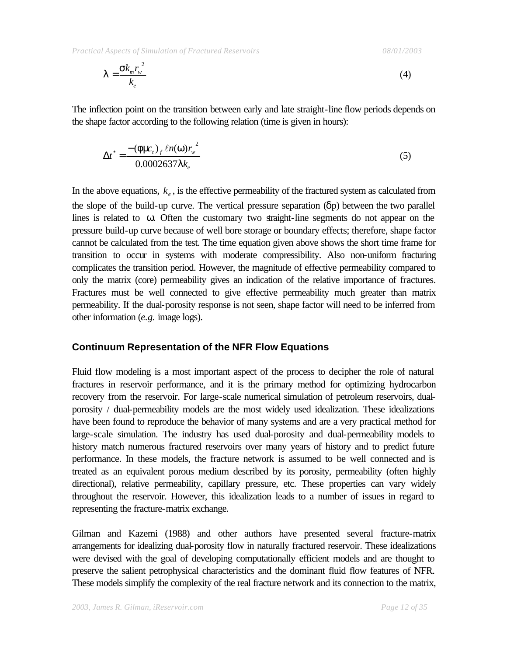*Practical Aspects of Simulation of Fractured Reservoirs* 

$$
08/01/2003
$$

$$
I = \frac{\mathbf{S}k_m r_w^2}{k_e} \tag{4}
$$

The inflection point on the transition between early and late straight-line flow periods depends on the shape factor according to the following relation (time is given in hours):

$$
\Delta t^* = \frac{-({\bf f m}_t)_f \ln(w) r_w^2}{0.0002637 \, I k_e} \tag{5}
$$

In the above equations,  $k_e$ , is the effective permeability of the fractured system as calculated from the slope of the build-up curve. The vertical pressure separation  $(\delta p)$  between the two parallel lines is related to ω. Often the customary two straight-line segments do not appear on the pressure build-up curve because of well bore storage or boundary effects; therefore, shape factor cannot be calculated from the test. The time equation given above shows the short time frame for transition to occur in systems with moderate compressibility. Also non-uniform fracturing complicates the transition period. However, the magnitude of effective permeability compared to only the matrix (core) permeability gives an indication of the relative importance of fractures. Fractures must be well connected to give effective permeability much greater than matrix permeability. If the dual-porosity response is not seen, shape factor will need to be inferred from other information (*e.g.* image logs).

#### **Continuum Representation of the NFR Flow Equations**

Fluid flow modeling is a most important aspect of the process to decipher the role of natural fractures in reservoir performance, and it is the primary method for optimizing hydrocarbon recovery from the reservoir. For large-scale numerical simulation of petroleum reservoirs, dualporosity / dual-permeability models are the most widely used idealization. These idealizations have been found to reproduce the behavior of many systems and are a very practical method for large-scale simulation. The industry has used dual-porosity and dual-permeability models to history match numerous fractured reservoirs over many years of history and to predict future performance. In these models, the fracture network is assumed to be well connected and is treated as an equivalent porous medium described by its porosity, permeability (often highly directional), relative permeability, capillary pressure, etc. These properties can vary widely throughout the reservoir. However, this idealization leads to a number of issues in regard to representing the fracture-matrix exchange.

Gilman and Kazemi (1988) and other authors have presented several fracture-matrix arrangements for idealizing dual-porosity flow in naturally fractured reservoir. These idealizations were devised with the goal of developing computationally efficient models and are thought to preserve the salient petrophysical characteristics and the dominant fluid flow features of NFR. These models simplify the complexity of the real fracture network and its connection to the matrix,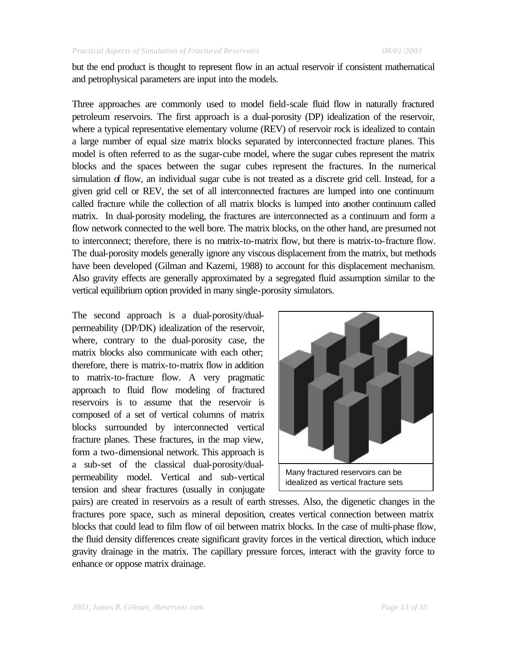but the end product is thought to represent flow in an actual reservoir if consistent mathematical and petrophysical parameters are input into the models.

Three approaches are commonly used to model field-scale fluid flow in naturally fractured petroleum reservoirs. The first approach is a dual-porosity (DP) idealization of the reservoir, where a typical representative elementary volume (REV) of reservoir rock is idealized to contain a large number of equal size matrix blocks separated by interconnected fracture planes. This model is often referred to as the sugar-cube model, where the sugar cubes represent the matrix blocks and the spaces between the sugar cubes represent the fractures. In the numerical simulation of flow, an individual sugar cube is not treated as a discrete grid cell. Instead, for a given grid cell or REV, the set of all interconnected fractures are lumped into one continuum called fracture while the collection of all matrix blocks is lumped into another continuum called matrix. In dual-porosity modeling, the fractures are interconnected as a continuum and form a flow network connected to the well bore. The matrix blocks, on the other hand, are presumed not to interconnect; therefore, there is no matrix-to-matrix flow, but there is matrix-to-fracture flow. The dual-porosity models generally ignore any viscous displacement from the matrix, but methods have been developed (Gilman and Kazemi, 1988) to account for this displacement mechanism. Also gravity effects are generally approximated by a segregated fluid assumption similar to the vertical equilibrium option provided in many single-porosity simulators.

The second approach is a dual-porosity/dualpermeability (DP/DK) idealization of the reservoir, where, contrary to the dual-porosity case, the matrix blocks also communicate with each other; therefore, there is matrix-to-matrix flow in addition to matrix-to-fracture flow. A very pragmatic approach to fluid flow modeling of fractured reservoirs is to assume that the reservoir is composed of a set of vertical columns of matrix blocks surrounded by interconnected vertical fracture planes. These fractures, in the map view, form a two-dimensional network. This approach is a sub-set of the classical dual-porosity/dualpermeability model. Vertical and sub-vertical tension and shear fractures (usually in conjugate



pairs) are created in reservoirs as a result of earth stresses. Also, the digenetic changes in the fractures pore space, such as mineral deposition, creates vertical connection between matrix blocks that could lead to film flow of oil between matrix blocks. In the case of multi-phase flow, the fluid density differences create significant gravity forces in the vertical direction, which induce gravity drainage in the matrix. The capillary pressure forces, interact with the gravity force to enhance or oppose matrix drainage.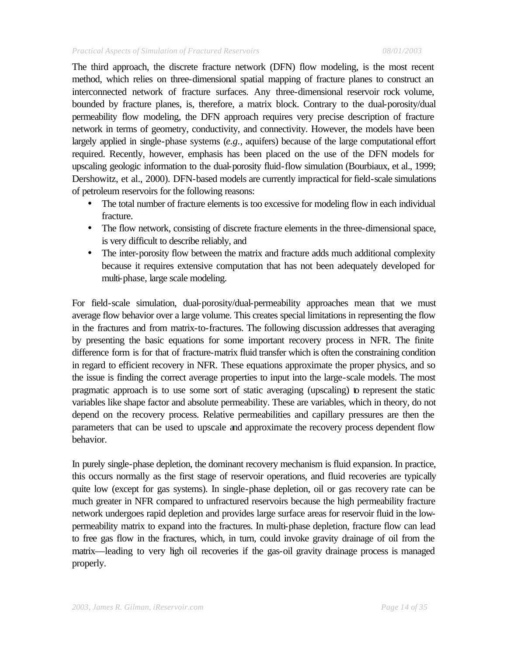The third approach, the discrete fracture network (DFN) flow modeling, is the most recent method, which relies on three-dimensional spatial mapping of fracture planes to construct an interconnected network of fracture surfaces. Any three-dimensional reservoir rock volume, bounded by fracture planes, is, therefore, a matrix block. Contrary to the dual-porosity/dual permeability flow modeling, the DFN approach requires very precise description of fracture network in terms of geometry, conductivity, and connectivity. However, the models have been largely applied in single-phase systems (*e.g.*, aquifers) because of the large computational effort required. Recently, however, emphasis has been placed on the use of the DFN models for upscaling geologic information to the dual-porosity fluid-flow simulation (Bourbiaux, et al., 1999; Dershowitz, et al., 2000). DFN-based models are currently impractical for field-scale simulations of petroleum reservoirs for the following reasons:

- The total number of fracture elements is too excessive for modeling flow in each individual fracture.
- The flow network, consisting of discrete fracture elements in the three-dimensional space, is very difficult to describe reliably, and
- The inter-porosity flow between the matrix and fracture adds much additional complexity because it requires extensive computation that has not been adequately developed for multi-phase, large scale modeling.

For field-scale simulation, dual-porosity/dual-permeability approaches mean that we must average flow behavior over a large volume. This creates special limitations in representing the flow in the fractures and from matrix-to-fractures. The following discussion addresses that averaging by presenting the basic equations for some important recovery process in NFR. The finite difference form is for that of fracture-matrix fluid transfer which is often the constraining condition in regard to efficient recovery in NFR. These equations approximate the proper physics, and so the issue is finding the correct average properties to input into the large-scale models. The most pragmatic approach is to use some sort of static averaging (upscaling) to represent the static variables like shape factor and absolute permeability. These are variables, which in theory, do not depend on the recovery process. Relative permeabilities and capillary pressures are then the parameters that can be used to upscale and approximate the recovery process dependent flow behavior.

In purely single-phase depletion, the dominant recovery mechanism is fluid expansion. In practice, this occurs normally as the first stage of reservoir operations, and fluid recoveries are typically quite low (except for gas systems). In single-phase depletion, oil or gas recovery rate can be much greater in NFR compared to unfractured reservoirs because the high permeability fracture network undergoes rapid depletion and provides large surface areas for reservoir fluid in the lowpermeability matrix to expand into the fractures. In multi-phase depletion, fracture flow can lead to free gas flow in the fractures, which, in turn, could invoke gravity drainage of oil from the matrix—leading to very high oil recoveries if the gas-oil gravity drainage process is managed properly.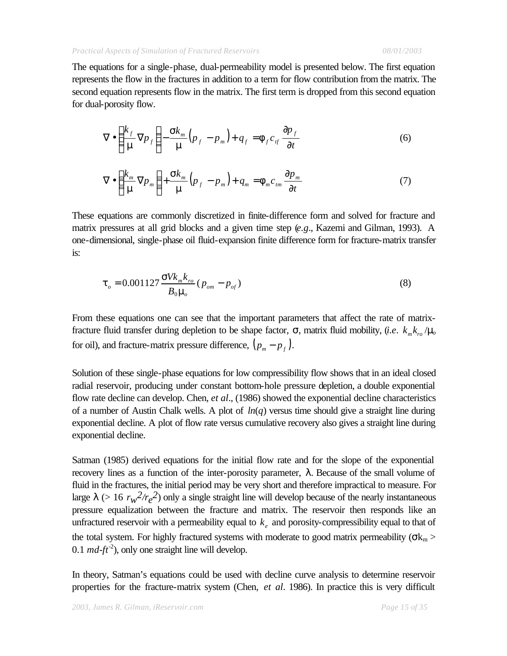*Practical Aspects of Simulation of Fractured Reservoirs 08/01/2003*

The equations for a single-phase, dual-permeability model is presented below. The first equation represents the flow in the fractures in addition to a term for flow contribution from the matrix. The second equation represents flow in the matrix. The first term is dropped from this second equation for dual-porosity flow.

$$
\nabla \bullet \left( \frac{k_f}{m} \nabla p_f \right) - \frac{\mathbf{sk}_m}{m} \left( p_f - p_m \right) + q_f = \mathbf{f}_f c_{tf} \frac{\partial p_f}{\partial t} \tag{6}
$$

$$
\nabla \bullet \left( \frac{k_m}{m} \nabla p_m \right) + \frac{\mathbf{S}k_m}{m} \left( p_f - p_m \right) + q_m = \mathbf{f}_m c_m \frac{\partial p_m}{\partial t} \tag{7}
$$

These equations are commonly discretized in finite-difference form and solved for fracture and matrix pressures at all grid blocks and a given time step (*e.g*., Kazemi and Gilman, 1993). A one-dimensional, single-phase oil fluid-expansion finite difference form for fracture-matrix transfer is:

$$
\boldsymbol{t}_{o} = 0.001127 \frac{\mathbf{S} V k_{m} k_{ro}}{B_{0} \mathbf{m}_{o}} (p_{om} - p_{of})
$$
\n(8)

From these equations one can see that the important parameters that affect the rate of matrixfracture fluid transfer during depletion to be shape factor, *s*, matrix fluid mobility, (*i.e.*  $k_m k_{r_o}/m_b$ for oil), and fracture-matrix pressure difference,  $\left( p_m - p_f \right)$ .

Solution of these single-phase equations for low compressibility flow shows that in an ideal closed radial reservoir, producing under constant bottom-hole pressure depletion, a double exponential flow rate decline can develop. Chen, *et al*., (1986) showed the exponential decline characteristics of a number of Austin Chalk wells. A plot of *ln*(*q*) versus time should give a straight line during exponential decline. A plot of flow rate versus cumulative recovery also gives a straight line during exponential decline.

Satman (1985) derived equations for the initial flow rate and for the slope of the exponential recovery lines as a function of the inter-porosity parameter, *l*. Because of the small volume of fluid in the fractures, the initial period may be very short and therefore impractical to measure. For large  $\lambda$  (> 16  $r_w^2/r_e^2$ ) only a single straight line will develop because of the nearly instantaneous pressure equalization between the fracture and matrix. The reservoir then responds like an unfractured reservoir with a permeability equal to  $k_e$  and porosity-compressibility equal to that of the total system. For highly fractured systems with moderate to good matrix permeability ( $\sigma$ k<sub>m</sub> >  $0.1$   $md-ft<sup>-2</sup>$ ), only one straight line will develop.

In theory, Satman's equations could be used with decline curve analysis to determine reservoir properties for the fracture-matrix system (Chen, *et al*. 1986). In practice this is very difficult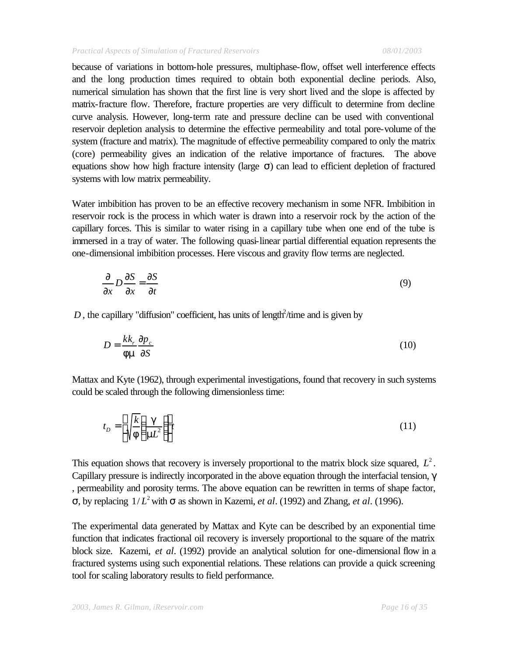because of variations in bottom-hole pressures, multiphase-flow, offset well interference effects and the long production times required to obtain both exponential decline periods. Also, numerical simulation has shown that the first line is very short lived and the slope is affected by matrix-fracture flow. Therefore, fracture properties are very difficult to determine from decline curve analysis. However, long-term rate and pressure decline can be used with conventional reservoir depletion analysis to determine the effective permeability and total pore-volume of the system (fracture and matrix). The magnitude of effective permeability compared to only the matrix (core) permeability gives an indication of the relative importance of fractures. The above equations show how high fracture intensity (large  $\sigma$ ) can lead to efficient depletion of fractured systems with low matrix permeability.

Water imbibition has proven to be an effective recovery mechanism in some NFR. Imbibition in reservoir rock is the process in which water is drawn into a reservoir rock by the action of the capillary forces. This is similar to water rising in a capillary tube when one end of the tube is immersed in a tray of water. The following quasi-linear partial differential equation represents the one-dimensional imbibition processes. Here viscous and gravity flow terms are neglected.

$$
\frac{\eta}{\eta_x} D \frac{\eta_s}{\eta_x} = \frac{\eta_s}{\eta_t} \tag{9}
$$

 $D$ , the capillary "diffusion" coefficient, has units of length<sup>2</sup>/time and is given by

$$
D = \frac{k k_r}{\text{fm}} \frac{\text{N} p_c}{\text{m}} \tag{10}
$$

Mattax and Kyte (1962), through experimental investigations, found that recovery in such systems could be scaled through the following dimensionless time:

$$
t_D = \left[ \sqrt{\frac{k}{f}} \left( \frac{g}{mL^2} \right) \right] t \tag{11}
$$

This equation shows that recovery is inversely proportional to the matrix block size squared,  $L^2$ . Capillary pressure is indirectly incorporated in the above equation through the interfacial tension, γ , permeability and porosity terms. The above equation can be rewritten in terms of shape factor, σ, by replacing  $1/L^2$  with σ as shown in Kazemi, *et al.* (1992) and Zhang, *et al.* (1996).

The experimental data generated by Mattax and Kyte can be described by an exponential time function that indicates fractional oil recovery is inversely proportional to the square of the matrix block size. Kazemi, *et al*. (1992) provide an analytical solution for one-dimensional flow in a fractured systems using such exponential relations. These relations can provide a quick screening tool for scaling laboratory results to field performance.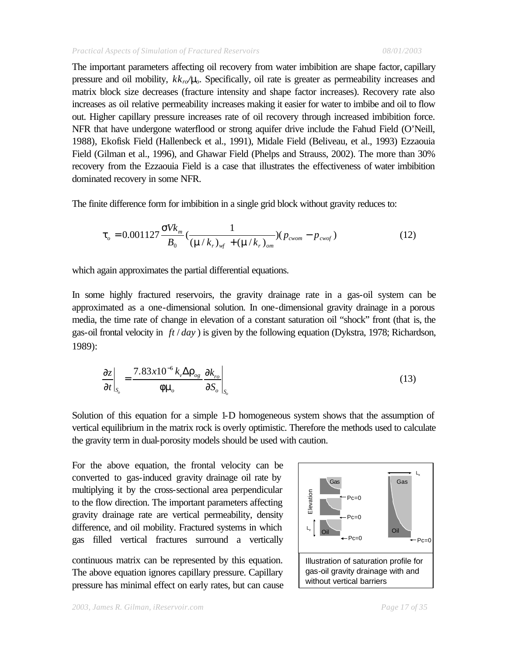The important parameters affecting oil recovery from water imbibition are shape factor, capillary pressure and oil mobility,  $kk_{r0}/m$ . Specifically, oil rate is greater as permeability increases and matrix block size decreases (fracture intensity and shape factor increases). Recovery rate also increases as oil relative permeability increases making it easier for water to imbibe and oil to flow out. Higher capillary pressure increases rate of oil recovery through increased imbibition force. NFR that have undergone waterflood or strong aquifer drive include the Fahud Field (O'Neill, 1988), Ekofisk Field (Hallenbeck et al., 1991), Midale Field (Beliveau, et al., 1993) Ezzaouia Field (Gilman et al., 1996), and Ghawar Field (Phelps and Strauss, 2002). The more than 30% recovery from the Ezzaouia Field is a case that illustrates the effectiveness of water imbibition dominated recovery in some NFR.

The finite difference form for imbibition in a single grid block without gravity reduces to:

$$
\boldsymbol{t}_{o} = 0.001127 \frac{\mathbf{s} V k_{m}}{B_{0}} \left( \frac{1}{(\mathbf{m}/k_{r})_{wf} + (\mathbf{m}/k_{r})_{om}} \right) (p_{\text{cvom}} - p_{\text{cwof}}) \tag{12}
$$

which again approximates the partial differential equations.

In some highly fractured reservoirs, the gravity drainage rate in a gas-oil system can be approximated as a one-dimensional solution. In one-dimensional gravity drainage in a porous media, the time rate of change in elevation of a constant saturation oil "shock" front (that is, the gas-oil frontal velocity in *ft* / *day* ) is given by the following equation (Dykstra, 1978; Richardson, 1989):

$$
\frac{\eta_z}{\eta_t}\bigg|_{S_o} = \frac{7.83 \times 10^{-6} k_v \Delta r_{og}}{fm_o} \frac{\eta k_{ro}}{\eta S_o}\bigg|_{S_o}
$$
\n(13)

Solution of this equation for a simple 1-D homogeneous system shows that the assumption of vertical equilibrium in the matrix rock is overly optimistic. Therefore the methods used to calculate the gravity term in dual-porosity models should be used with caution.

For the above equation, the frontal velocity can be converted to gas-induced gravity drainage oil rate by multiplying it by the cross-sectional area perpendicular to the flow direction. The important parameters affecting gravity drainage rate are vertical permeability, density difference, and oil mobility. Fractured systems in which gas filled vertical fractures surround a vertically

continuous matrix can be represented by this equation. The above equation ignores capillary pressure. Capillary pressure has minimal effect on early rates, but can cause

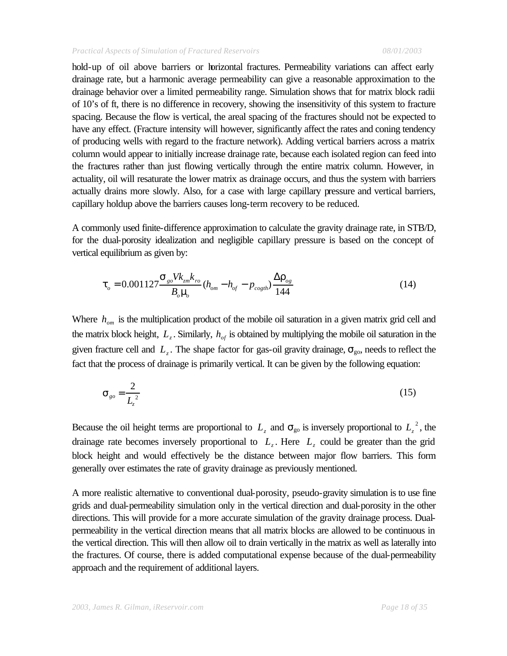hold-up of oil above barriers or horizontal fractures. Permeability variations can affect early drainage rate, but a harmonic average permeability can give a reasonable approximation to the drainage behavior over a limited permeability range. Simulation shows that for matrix block radii of 10's of ft, there is no difference in recovery, showing the insensitivity of this system to fracture spacing. Because the flow is vertical, the areal spacing of the fractures should not be expected to have any effect. (Fracture intensity will however, significantly affect the rates and coning tendency of producing wells with regard to the fracture network). Adding vertical barriers across a matrix column would appear to initially increase drainage rate, because each isolated region can feed into the fractures rather than just flowing vertically through the entire matrix column. However, in actuality, oil will resaturate the lower matrix as drainage occurs, and thus the system with barriers actually drains more slowly. Also, for a case with large capillary pressure and vertical barriers, capillary holdup above the barriers causes long-term recovery to be reduced.

A commonly used finite-difference approximation to calculate the gravity drainage rate, in STB/D, for the dual-porosity idealization and negligible capillary pressure is based on the concept of vertical equilibrium as given by:

$$
\boldsymbol{t}_{o} = 0.001127 \frac{\mathbf{s}_{go} V k_{zm} k_{ro}}{B_{o} \mathbf{m}_{o}} (h_{om} - h_{of} - p_{cogth}) \frac{\Delta \mathbf{r}_{og}}{144}
$$
(14)

Where  $h_{\text{om}}$  is the multiplication product of the mobile oil saturation in a given matrix grid cell and the matrix block height,  $L_z$ . Similarly,  $h_{of}$  is obtained by multiplying the mobile oil saturation in the given fracture cell and  $L_z$ . The shape factor for gas-oil gravity drainage,  $\sigma_{\rm go}$ , needs to reflect the fact that the process of drainage is primarily vertical. It can be given by the following equation:

$$
\boldsymbol{s}_{go} = \frac{2}{L_z^2} \tag{15}
$$

Because the oil height terms are proportional to  $L_z$  and  $\sigma_{\rm go}$  is inversely proportional to  $L_z^2$ , the drainage rate becomes inversely proportional to  $L_z$ . Here  $L_z$  could be greater than the grid block height and would effectively be the distance between major flow barriers. This form generally over estimates the rate of gravity drainage as previously mentioned.

A more realistic alternative to conventional dual-porosity, pseudo-gravity simulation is to use fine grids and dual-permeability simulation only in the vertical direction and dual-porosity in the other directions. This will provide for a more accurate simulation of the gravity drainage process. Dualpermeability in the vertical direction means that all matrix blocks are allowed to be continuous in the vertical direction. This will then allow oil to drain vertically in the matrix as well as laterally into the fractures. Of course, there is added computational expense because of the dual-permeability approach and the requirement of additional layers.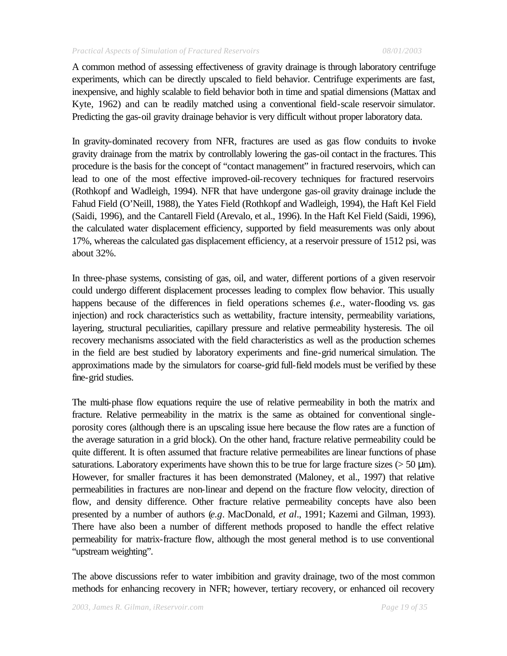A common method of assessing effectiveness of gravity drainage is through laboratory centrifuge experiments, which can be directly upscaled to field behavior. Centrifuge experiments are fast, inexpensive, and highly scalable to field behavior both in time and spatial dimensions (Mattax and Kyte, 1962) and can be readily matched using a conventional field-scale reservoir simulator. Predicting the gas-oil gravity drainage behavior is very difficult without proper laboratory data.

In gravity-dominated recovery from NFR, fractures are used as gas flow conduits to invoke gravity drainage from the matrix by controllably lowering the gas-oil contact in the fractures. This procedure is the basis for the concept of "contact management" in fractured reservoirs, which can lead to one of the most effective improved-oil-recovery techniques for fractured reservoirs (Rothkopf and Wadleigh, 1994). NFR that have undergone gas-oil gravity drainage include the Fahud Field (O'Neill, 1988), the Yates Field (Rothkopf and Wadleigh, 1994), the Haft Kel Field (Saidi, 1996), and the Cantarell Field (Arevalo, et al., 1996). In the Haft Kel Field (Saidi, 1996), the calculated water displacement efficiency, supported by field measurements was only about 17%, whereas the calculated gas displacement efficiency, at a reservoir pressure of 1512 psi, was about 32%.

In three-phase systems, consisting of gas, oil, and water, different portions of a given reservoir could undergo different displacement processes leading to complex flow behavior. This usually happens because of the differences in field operations schemes (*i.e*., water-flooding vs. gas injection) and rock characteristics such as wettability, fracture intensity, permeability variations, layering, structural peculiarities, capillary pressure and relative permeability hysteresis. The oil recovery mechanisms associated with the field characteristics as well as the production schemes in the field are best studied by laboratory experiments and fine-grid numerical simulation. The approximations made by the simulators for coarse-grid full-field models must be verified by these fine-grid studies.

The multi-phase flow equations require the use of relative permeability in both the matrix and fracture. Relative permeability in the matrix is the same as obtained for conventional singleporosity cores (although there is an upscaling issue here because the flow rates are a function of the average saturation in a grid block). On the other hand, fracture relative permeability could be quite different. It is often assumed that fracture relative permeabilites are linear functions of phase saturations. Laboratory experiments have shown this to be true for large fracture sizes  $(> 50 \,\mu m)$ . However, for smaller fractures it has been demonstrated (Maloney, et al., 1997) that relative permeabilities in fractures are non-linear and depend on the fracture flow velocity, direction of flow, and density difference. Other fracture relative permeability concepts have also been presented by a number of authors (*e.g*. MacDonald, *et al*., 1991; Kazemi and Gilman, 1993). There have also been a number of different methods proposed to handle the effect relative permeability for matrix-fracture flow, although the most general method is to use conventional "upstream weighting".

The above discussions refer to water imbibition and gravity drainage, two of the most common methods for enhancing recovery in NFR; however, tertiary recovery, or enhanced oil recovery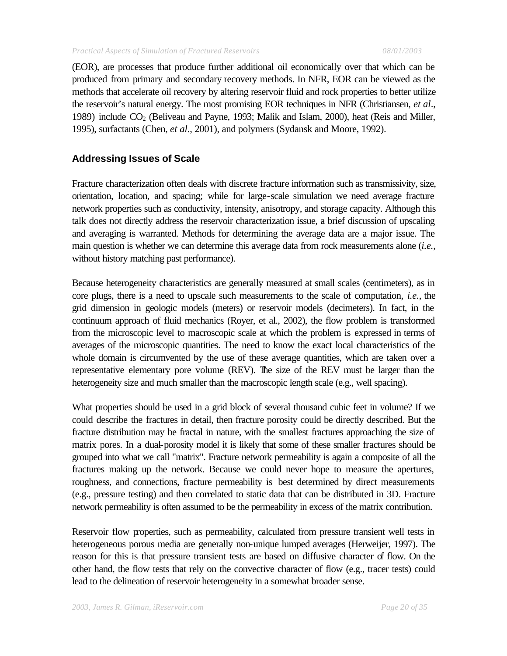(EOR), are processes that produce further additional oil economically over that which can be produced from primary and secondary recovery methods. In NFR, EOR can be viewed as the methods that accelerate oil recovery by altering reservoir fluid and rock properties to better utilize the reservoir's natural energy. The most promising EOR techniques in NFR (Christiansen, *et al*., 1989) include  $CO<sub>2</sub>$  (Beliveau and Payne, 1993; Malik and Islam, 2000), heat (Reis and Miller, 1995), surfactants (Chen, *et al*., 2001), and polymers (Sydansk and Moore, 1992).

### **Addressing Issues of Scale**

Fracture characterization often deals with discrete fracture information such as transmissivity, size, orientation, location, and spacing; while for large-scale simulation we need average fracture network properties such as conductivity, intensity, anisotropy, and storage capacity. Although this talk does not directly address the reservoir characterization issue, a brief discussion of upscaling and averaging is warranted. Methods for determining the average data are a major issue. The main question is whether we can determine this average data from rock measurements alone (*i.e.*, without history matching past performance).

Because heterogeneity characteristics are generally measured at small scales (centimeters), as in core plugs, there is a need to upscale such measurements to the scale of computation, *i.e.*, the grid dimension in geologic models (meters) or reservoir models (decimeters). In fact, in the continuum approach of fluid mechanics (Royer, et al., 2002), the flow problem is transformed from the microscopic level to macroscopic scale at which the problem is expressed in terms of averages of the microscopic quantities. The need to know the exact local characteristics of the whole domain is circumvented by the use of these average quantities, which are taken over a representative elementary pore volume (REV). The size of the REV must be larger than the heterogeneity size and much smaller than the macroscopic length scale (e.g., well spacing).

What properties should be used in a grid block of several thousand cubic feet in volume? If we could describe the fractures in detail, then fracture porosity could be directly described. But the fracture distribution may be fractal in nature, with the smallest fractures approaching the size of matrix pores. In a dual-porosity model it is likely that some of these smaller fractures should be grouped into what we call "matrix". Fracture network permeability is again a composite of all the fractures making up the network. Because we could never hope to measure the apertures, roughness, and connections, fracture permeability is best determined by direct measurements (e.g., pressure testing) and then correlated to static data that can be distributed in 3D. Fracture network permeability is often assumed to be the permeability in excess of the matrix contribution.

Reservoir flow properties, such as permeability, calculated from pressure transient well tests in heterogeneous porous media are generally non-unique lumped averages (Herweijer, 1997). The reason for this is that pressure transient tests are based on diffusive character of flow. On the other hand, the flow tests that rely on the convective character of flow (e.g., tracer tests) could lead to the delineation of reservoir heterogeneity in a somewhat broader sense.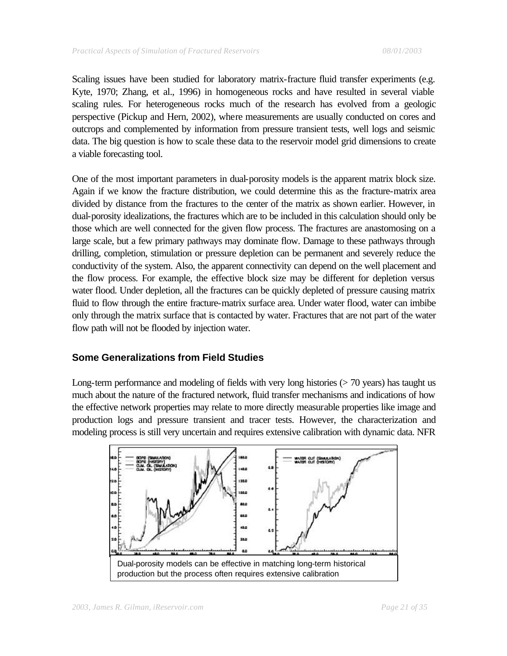Scaling issues have been studied for laboratory matrix-fracture fluid transfer experiments (e.g. Kyte, 1970; Zhang, et al., 1996) in homogeneous rocks and have resulted in several viable scaling rules. For heterogeneous rocks much of the research has evolved from a geologic perspective (Pickup and Hern, 2002), where measurements are usually conducted on cores and outcrops and complemented by information from pressure transient tests, well logs and seismic data. The big question is how to scale these data to the reservoir model grid dimensions to create a viable forecasting tool.

One of the most important parameters in dual-porosity models is the apparent matrix block size. Again if we know the fracture distribution, we could determine this as the fracture-matrix area divided by distance from the fractures to the center of the matrix as shown earlier. However, in dual-porosity idealizations, the fractures which are to be included in this calculation should only be those which are well connected for the given flow process. The fractures are anastomosing on a large scale, but a few primary pathways may dominate flow. Damage to these pathways through drilling, completion, stimulation or pressure depletion can be permanent and severely reduce the conductivity of the system. Also, the apparent connectivity can depend on the well placement and the flow process. For example, the effective block size may be different for depletion versus water flood. Under depletion, all the fractures can be quickly depleted of pressure causing matrix fluid to flow through the entire fracture-matrix surface area. Under water flood, water can imbibe only through the matrix surface that is contacted by water. Fractures that are not part of the water flow path will not be flooded by injection water.

#### **Some Generalizations from Field Studies**

Long-term performance and modeling of fields with very long histories ( $>$  70 years) has taught us much about the nature of the fractured network, fluid transfer mechanisms and indications of how the effective network properties may relate to more directly measurable properties like image and production logs and pressure transient and tracer tests. However, the characterization and modeling process is still very uncertain and requires extensive calibration with dynamic data. NFR

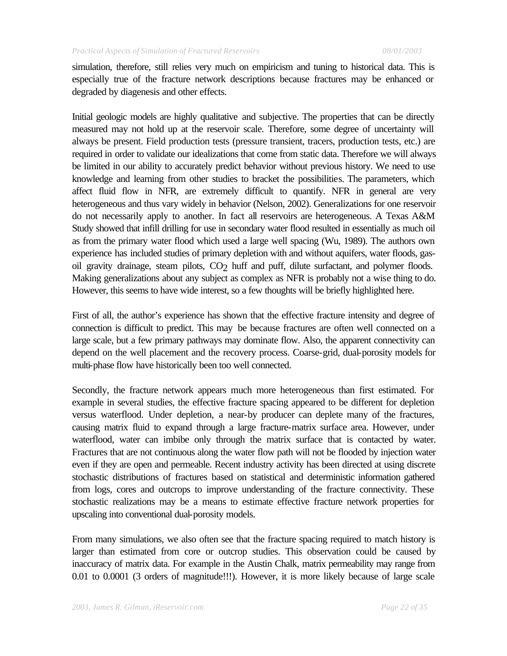simulation, therefore, still relies very much on empiricism and tuning to historical data. This is especially true of the fracture network descriptions because fractures may be enhanced or degraded by diagenesis and other effects.

Initial geologic models are highly qualitative and subjective. The properties that can be directly measured may not hold up at the reservoir scale. Therefore, some degree of uncertainty will always be present. Field production tests (pressure transient, tracers, production tests, etc.) are required in order to validate our idealizations that come from static data. Therefore we will always be limited in our ability to accurately predict behavior without previous history. We need to use knowledge and learning from other studies to bracket the possibilities. The parameters, which affect fluid flow in NFR, are extremely difficult to quantify. NFR in general are very heterogeneous and thus vary widely in behavior (Nelson, 2002). Generalizations for one reservoir do not necessarily apply to another. In fact all reservoirs are heterogeneous. A Texas A&M Study showed that infill drilling for use in secondary water flood resulted in essentially as much oil as from the primary water flood which used a large well spacing (Wu, 1989). The authors own experience has included studies of primary depletion with and without aquifers, water floods, gasoil gravity drainage, steam pilots,  $CO<sub>2</sub>$  huff and puff, dilute surfactant, and polymer floods. Making generalizations about any subject as complex as NFR is probably not a wise thing to do. However, this seems to have wide interest, so a few thoughts will be briefly highlighted here.

First of all, the author's experience has shown that the effective fracture intensity and degree of connection is difficult to predict. This may be because fractures are often well connected on a large scale, but a few primary pathways may dominate flow. Also, the apparent connectivity can depend on the well placement and the recovery process. Coarse-grid, dual-porosity models for multi-phase flow have historically been too well connected.

Secondly, the fracture network appears much more heterogeneous than first estimated. For example in several studies, the effective fracture spacing appeared to be different for depletion versus waterflood. Under depletion, a near-by producer can deplete many of the fractures, causing matrix fluid to expand through a large fracture-matrix surface area. However, under waterflood, water can imbibe only through the matrix surface that is contacted by water. Fractures that are not continuous along the water flow path will not be flooded by injection water even if they are open and permeable. Recent industry activity has been directed at using discrete stochastic distributions of fractures based on statistical and deterministic information gathered from logs, cores and outcrops to improve understanding of the fracture connectivity. These stochastic realizations may be a means to estimate effective fracture network properties for upscaling into conventional dual-porosity models.

From many simulations, we also often see that the fracture spacing required to match history is larger than estimated from core or outcrop studies. This observation could be caused by inaccuracy of matrix data. For example in the Austin Chalk, matrix permeability may range from 0.01 to 0.0001 (3 orders of magnitude!!!). However, it is more likely because of large scale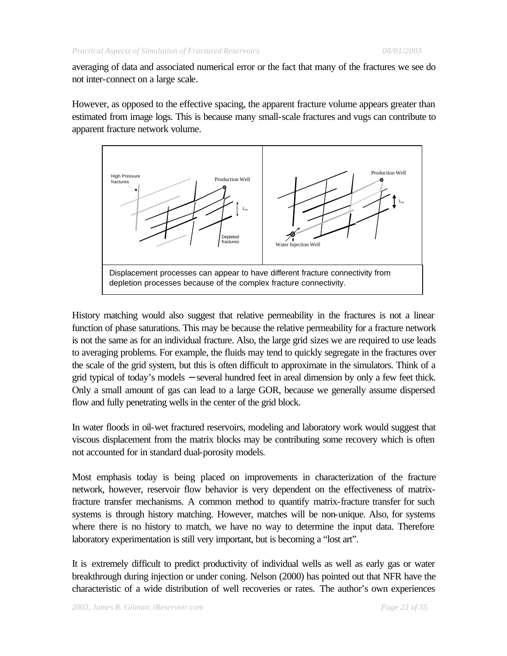averaging of data and associated numerical error or the fact that many of the fractures we see do not inter-connect on a large scale.

However, as opposed to the effective spacing, the apparent fracture volume appears greater than estimated from image logs. This is because many small-scale fractures and vugs can contribute to apparent fracture network volume.



History matching would also suggest that relative permeability in the fractures is not a linear function of phase saturations. This may be because the relative permeability for a fracture network is not the same as for an individual fracture. Also, the large grid sizes we are required to use leads to averaging problems. For example, the fluids may tend to quickly segregate in the fractures over the scale of the grid system, but this is often difficult to approximate in the simulators. Think of a grid typical of today's models − several hundred feet in areal dimension by only a few feet thick. Only a small amount of gas can lead to a large GOR, because we generally assume dispersed flow and fully penetrating wells in the center of the grid block.

In water floods in oil-wet fractured reservoirs, modeling and laboratory work would suggest that viscous displacement from the matrix blocks may be contributing some recovery which is often not accounted for in standard dual-porosity models.

Most emphasis today is being placed on improvements in characterization of the fracture network, however, reservoir flow behavior is very dependent on the effectiveness of matrixfracture transfer mechanisms. A common method to quantify matrix-fracture transfer for such systems is through history matching. However, matches will be non-unique. Also, for systems where there is no history to match, we have no way to determine the input data. Therefore laboratory experimentation is still very important, but is becoming a "lost art".

It is extremely difficult to predict productivity of individual wells as well as early gas or water breakthrough during injection or under coning. Nelson (2000) has pointed out that NFR have the characteristic of a wide distribution of well recoveries or rates. The author's own experiences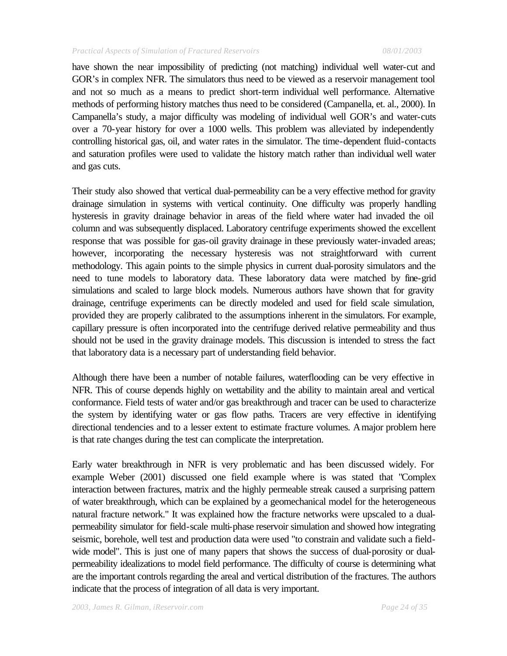#### *Practical Aspects of Simulation of Fractured Reservoirs 08/01/2003*

have shown the near impossibility of predicting (not matching) individual well water-cut and GOR's in complex NFR. The simulators thus need to be viewed as a reservoir management tool and not so much as a means to predict short-term individual well performance. Alternative methods of performing history matches thus need to be considered (Campanella, et. al., 2000). In Campanella's study, a major difficulty was modeling of individual well GOR's and water-cuts over a 70-year history for over a 1000 wells. This problem was alleviated by independently controlling historical gas, oil, and water rates in the simulator. The time-dependent fluid-contacts and saturation profiles were used to validate the history match rather than individual well water and gas cuts.

Their study also showed that vertical dual-permeability can be a very effective method for gravity drainage simulation in systems with vertical continuity. One difficulty was properly handling hysteresis in gravity drainage behavior in areas of the field where water had invaded the oil column and was subsequently displaced. Laboratory centrifuge experiments showed the excellent response that was possible for gas-oil gravity drainage in these previously water-invaded areas; however, incorporating the necessary hysteresis was not straightforward with current methodology. This again points to the simple physics in current dual-porosity simulators and the need to tune models to laboratory data. These laboratory data were matched by fine-grid simulations and scaled to large block models. Numerous authors have shown that for gravity drainage, centrifuge experiments can be directly modeled and used for field scale simulation, provided they are properly calibrated to the assumptions inherent in the simulators. For example, capillary pressure is often incorporated into the centrifuge derived relative permeability and thus should not be used in the gravity drainage models. This discussion is intended to stress the fact that laboratory data is a necessary part of understanding field behavior.

Although there have been a number of notable failures, waterflooding can be very effective in NFR. This of course depends highly on wettability and the ability to maintain areal and vertical conformance. Field tests of water and/or gas breakthrough and tracer can be used to characterize the system by identifying water or gas flow paths. Tracers are very effective in identifying directional tendencies and to a lesser extent to estimate fracture volumes. A major problem here is that rate changes during the test can complicate the interpretation.

Early water breakthrough in NFR is very problematic and has been discussed widely. For example Weber (2001) discussed one field example where is was stated that "Complex interaction between fractures, matrix and the highly permeable streak caused a surprising pattern of water breakthrough, which can be explained by a geomechanical model for the heterogeneous natural fracture network." It was explained how the fracture networks were upscaled to a dualpermeability simulator for field-scale multi-phase reservoir simulation and showed how integrating seismic, borehole, well test and production data were used "to constrain and validate such a fieldwide model". This is just one of many papers that shows the success of dual-porosity or dualpermeability idealizations to model field performance. The difficulty of course is determining what are the important controls regarding the areal and vertical distribution of the fractures. The authors indicate that the process of integration of all data is very important.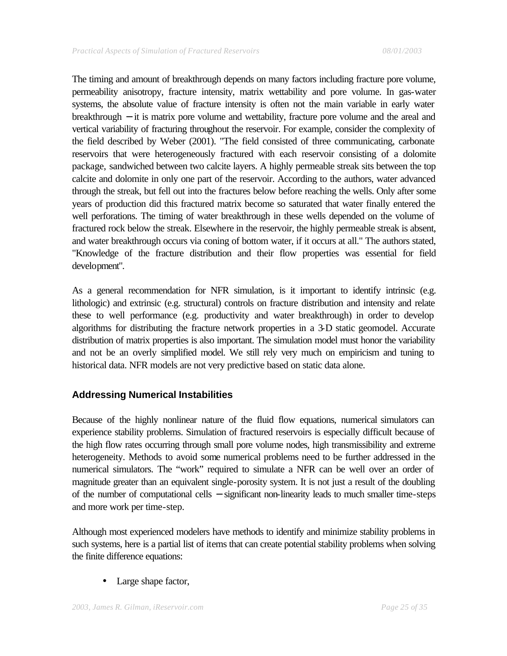The timing and amount of breakthrough depends on many factors including fracture pore volume, permeability anisotropy, fracture intensity, matrix wettability and pore volume. In gas-water systems, the absolute value of fracture intensity is often not the main variable in early water breakthrough − it is matrix pore volume and wettability, fracture pore volume and the areal and vertical variability of fracturing throughout the reservoir. For example, consider the complexity of the field described by Weber (2001). "The field consisted of three communicating, carbonate reservoirs that were heterogeneously fractured with each reservoir consisting of a dolomite package, sandwiched between two calcite layers. A highly permeable streak sits between the top calcite and dolomite in only one part of the reservoir. According to the authors, water advanced through the streak, but fell out into the fractures below before reaching the wells. Only after some years of production did this fractured matrix become so saturated that water finally entered the well perforations. The timing of water breakthrough in these wells depended on the volume of fractured rock below the streak. Elsewhere in the reservoir, the highly permeable streak is absent, and water breakthrough occurs via coning of bottom water, if it occurs at all." The authors stated, "Knowledge of the fracture distribution and their flow properties was essential for field development".

As a general recommendation for NFR simulation, is it important to identify intrinsic (e.g. lithologic) and extrinsic (e.g. structural) controls on fracture distribution and intensity and relate these to well performance (e.g. productivity and water breakthrough) in order to develop algorithms for distributing the fracture network properties in a 3-D static geomodel. Accurate distribution of matrix properties is also important. The simulation model must honor the variability and not be an overly simplified model. We still rely very much on empiricism and tuning to historical data. NFR models are not very predictive based on static data alone.

#### **Addressing Numerical Instabilities**

Because of the highly nonlinear nature of the fluid flow equations, numerical simulators can experience stability problems. Simulation of fractured reservoirs is especially difficult because of the high flow rates occurring through small pore volume nodes, high transmissibility and extreme heterogeneity. Methods to avoid some numerical problems need to be further addressed in the numerical simulators. The "work" required to simulate a NFR can be well over an order of magnitude greater than an equivalent single-porosity system. It is not just a result of the doubling of the number of computational cells − significant non-linearity leads to much smaller time-steps and more work per time-step.

Although most experienced modelers have methods to identify and minimize stability problems in such systems, here is a partial list of items that can create potential stability problems when solving the finite difference equations:

• Large shape factor,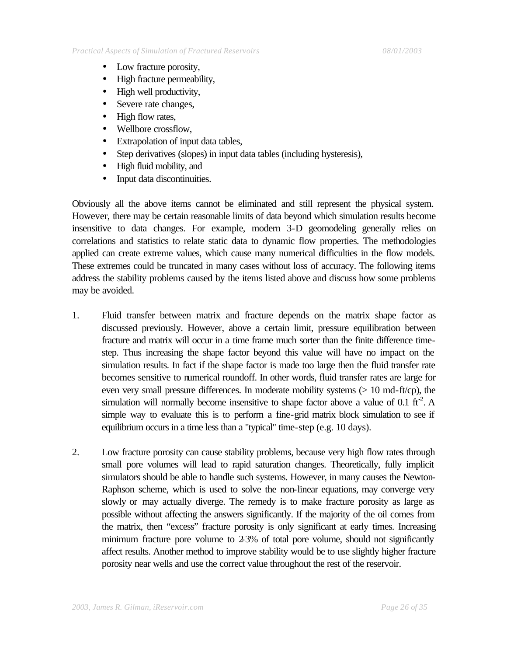- Low fracture porosity,
- High fracture permeability,
- High well productivity,
- Severe rate changes,
- High flow rates,
- Wellbore crossflow,
- Extrapolation of input data tables,
- Step derivatives (slopes) in input data tables (including hysteresis),
- High fluid mobility, and
- Input data discontinuities.

Obviously all the above items cannot be eliminated and still represent the physical system. However, there may be certain reasonable limits of data beyond which simulation results become insensitive to data changes. For example, modern 3-D geomodeling generally relies on correlations and statistics to relate static data to dynamic flow properties. The methodologies applied can create extreme values, which cause many numerical difficulties in the flow models. These extremes could be truncated in many cases without loss of accuracy. The following items address the stability problems caused by the items listed above and discuss how some problems may be avoided.

- 1. Fluid transfer between matrix and fracture depends on the matrix shape factor as discussed previously. However, above a certain limit, pressure equilibration between fracture and matrix will occur in a time frame much sorter than the finite difference timestep. Thus increasing the shape factor beyond this value will have no impact on the simulation results. In fact if the shape factor is made too large then the fluid transfer rate becomes sensitive to numerical roundoff. In other words, fluid transfer rates are large for even very small pressure differences. In moderate mobility systems  $(> 10 \text{ md-ft/cp})$ , the simulation will normally become insensitive to shape factor above a value of 0.1  $\text{ft}^2$ . A simple way to evaluate this is to perform a fine-grid matrix block simulation to see if equilibrium occurs in a time less than a "typical" time-step (e.g. 10 days).
- 2. Low fracture porosity can cause stability problems, because very high flow rates through small pore volumes will lead to rapid saturation changes. Theoretically, fully implicit simulators should be able to handle such systems. However, in many causes the Newton-Raphson scheme, which is used to solve the non-linear equations, may converge very slowly or may actually diverge. The remedy is to make fracture porosity as large as possible without affecting the answers significantly. If the majority of the oil comes from the matrix, then "excess" fracture porosity is only significant at early times. Increasing minimum fracture pore volume to 2-3% of total pore volume, should not significantly affect results. Another method to improve stability would be to use slightly higher fracture porosity near wells and use the correct value throughout the rest of the reservoir.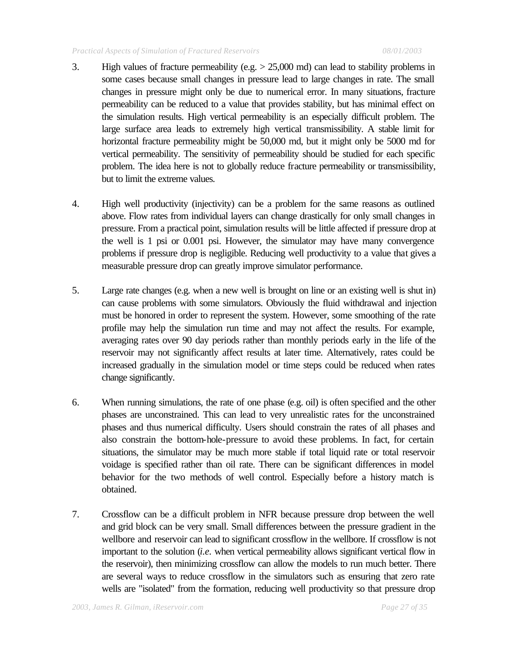- 3. High values of fracture permeability (e.g. > 25,000 md) can lead to stability problems in some cases because small changes in pressure lead to large changes in rate. The small changes in pressure might only be due to numerical error. In many situations, fracture permeability can be reduced to a value that provides stability, but has minimal effect on the simulation results. High vertical permeability is an especially difficult problem. The large surface area leads to extremely high vertical transmissibility. A stable limit for horizontal fracture permeability might be 50,000 md, but it might only be 5000 md for vertical permeability. The sensitivity of permeability should be studied for each specific problem. The idea here is not to globally reduce fracture permeability or transmissibility, but to limit the extreme values.
- 4. High well productivity (injectivity) can be a problem for the same reasons as outlined above. Flow rates from individual layers can change drastically for only small changes in pressure. From a practical point, simulation results will be little affected if pressure drop at the well is 1 psi or 0.001 psi. However, the simulator may have many convergence problems if pressure drop is negligible. Reducing well productivity to a value that gives a measurable pressure drop can greatly improve simulator performance.
- 5. Large rate changes (e.g. when a new well is brought on line or an existing well is shut in) can cause problems with some simulators. Obviously the fluid withdrawal and injection must be honored in order to represent the system. However, some smoothing of the rate profile may help the simulation run time and may not affect the results. For example, averaging rates over 90 day periods rather than monthly periods early in the life of the reservoir may not significantly affect results at later time. Alternatively, rates could be increased gradually in the simulation model or time steps could be reduced when rates change significantly.
- 6. When running simulations, the rate of one phase (e.g. oil) is often specified and the other phases are unconstrained. This can lead to very unrealistic rates for the unconstrained phases and thus numerical difficulty. Users should constrain the rates of all phases and also constrain the bottom-hole-pressure to avoid these problems. In fact, for certain situations, the simulator may be much more stable if total liquid rate or total reservoir voidage is specified rather than oil rate. There can be significant differences in model behavior for the two methods of well control. Especially before a history match is obtained.
- 7. Crossflow can be a difficult problem in NFR because pressure drop between the well and grid block can be very small. Small differences between the pressure gradient in the wellbore and reservoir can lead to significant crossflow in the wellbore. If crossflow is not important to the solution (*i.e.* when vertical permeability allows significant vertical flow in the reservoir), then minimizing crossflow can allow the models to run much better. There are several ways to reduce crossflow in the simulators such as ensuring that zero rate wells are "isolated" from the formation, reducing well productivity so that pressure drop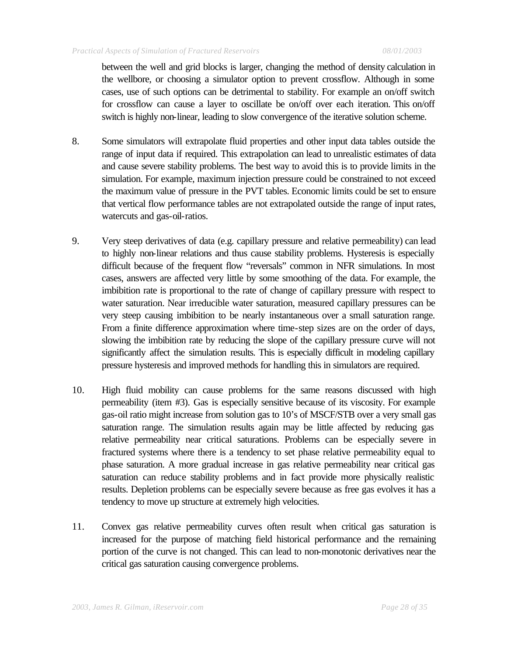between the well and grid blocks is larger, changing the method of density calculation in the wellbore, or choosing a simulator option to prevent crossflow. Although in some cases, use of such options can be detrimental to stability. For example an on/off switch for crossflow can cause a layer to oscillate be on/off over each iteration. This on/off switch is highly non-linear, leading to slow convergence of the iterative solution scheme.

- 8. Some simulators will extrapolate fluid properties and other input data tables outside the range of input data if required. This extrapolation can lead to unrealistic estimates of data and cause severe stability problems. The best way to avoid this is to provide limits in the simulation. For example, maximum injection pressure could be constrained to not exceed the maximum value of pressure in the PVT tables. Economic limits could be set to ensure that vertical flow performance tables are not extrapolated outside the range of input rates, watercuts and gas-oil-ratios.
- 9. Very steep derivatives of data (e.g. capillary pressure and relative permeability) can lead to highly non-linear relations and thus cause stability problems. Hysteresis is especially difficult because of the frequent flow "reversals" common in NFR simulations. In most cases, answers are affected very little by some smoothing of the data. For example, the imbibition rate is proportional to the rate of change of capillary pressure with respect to water saturation. Near irreducible water saturation, measured capillary pressures can be very steep causing imbibition to be nearly instantaneous over a small saturation range. From a finite difference approximation where time-step sizes are on the order of days, slowing the imbibition rate by reducing the slope of the capillary pressure curve will not significantly affect the simulation results. This is especially difficult in modeling capillary pressure hysteresis and improved methods for handling this in simulators are required.
- 10. High fluid mobility can cause problems for the same reasons discussed with high permeability (item #3). Gas is especially sensitive because of its viscosity. For example gas-oil ratio might increase from solution gas to 10's of MSCF/STB over a very small gas saturation range. The simulation results again may be little affected by reducing gas relative permeability near critical saturations. Problems can be especially severe in fractured systems where there is a tendency to set phase relative permeability equal to phase saturation. A more gradual increase in gas relative permeability near critical gas saturation can reduce stability problems and in fact provide more physically realistic results. Depletion problems can be especially severe because as free gas evolves it has a tendency to move up structure at extremely high velocities.
- 11. Convex gas relative permeability curves often result when critical gas saturation is increased for the purpose of matching field historical performance and the remaining portion of the curve is not changed. This can lead to non-monotonic derivatives near the critical gas saturation causing convergence problems.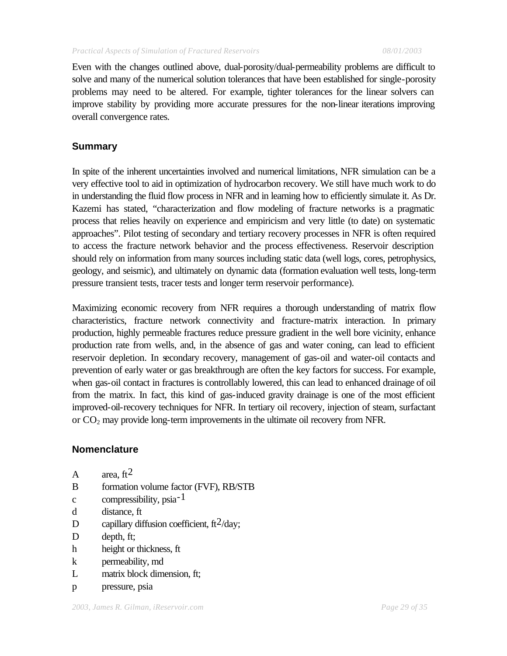Even with the changes outlined above, dual-porosity/dual-permeability problems are difficult to solve and many of the numerical solution tolerances that have been established for single-porosity problems may need to be altered. For example, tighter tolerances for the linear solvers can improve stability by providing more accurate pressures for the non-linear iterations improving overall convergence rates.

### **Summary**

In spite of the inherent uncertainties involved and numerical limitations, NFR simulation can be a very effective tool to aid in optimization of hydrocarbon recovery. We still have much work to do in understanding the fluid flow process in NFR and in learning how to efficiently simulate it. As Dr. Kazemi has stated, "characterization and flow modeling of fracture networks is a pragmatic process that relies heavily on experience and empiricism and very little (to date) on systematic approaches". Pilot testing of secondary and tertiary recovery processes in NFR is often required to access the fracture network behavior and the process effectiveness. Reservoir description should rely on information from many sources including static data (well logs, cores, petrophysics, geology, and seismic), and ultimately on dynamic data (formation evaluation well tests, long-term pressure transient tests, tracer tests and longer term reservoir performance).

Maximizing economic recovery from NFR requires a thorough understanding of matrix flow characteristics, fracture network connectivity and fracture-matrix interaction. In primary production, highly permeable fractures reduce pressure gradient in the well bore vicinity, enhance production rate from wells, and, in the absence of gas and water coning, can lead to efficient reservoir depletion. In secondary recovery, management of gas-oil and water-oil contacts and prevention of early water or gas breakthrough are often the key factors for success. For example, when gas-oil contact in fractures is controllably lowered, this can lead to enhanced drainage of oil from the matrix. In fact, this kind of gas-induced gravity drainage is one of the most efficient improved-oil-recovery techniques for NFR. In tertiary oil recovery, injection of steam, surfactant or CO2 may provide long-term improvements in the ultimate oil recovery from NFR.

#### **Nomenclature**

- A area,  $\text{ft}^2$
- B formation volume factor (FVF), RB/STB
- c compressibility,  $psi^{-1}$
- d distance, ft
- D capillary diffusion coefficient,  $\text{ft}^2/\text{day}$ ;
- D depth, ft;
- h height or thickness, ft
- k permeability, md
- L matrix block dimension, ft;
- p pressure, psia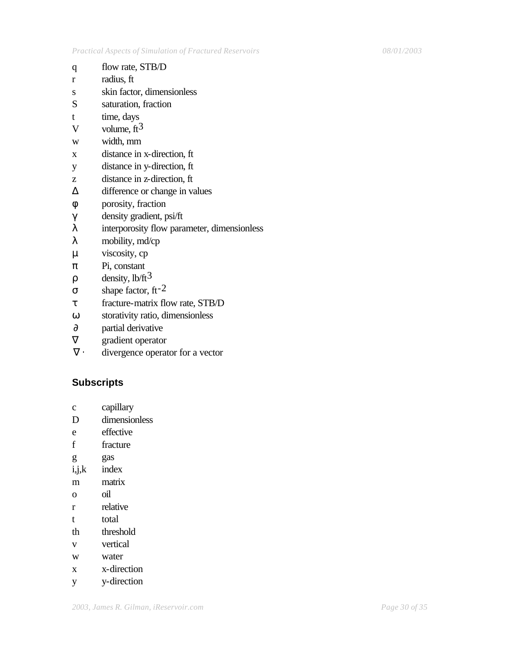- q flow rate, STB/D
- r radius, ft
- s skin factor, dimensionless
- S saturation, fraction
- t time, days
- V volume,  $ft^3$
- w width, mm
- x distance in x-direction, ft
- y distance in y-direction, ft
- z distance in z-direction, ft
- Δ difference or change in values
- φ porosity, fraction
- γ density gradient, psi/ft
- λ interporosity flow parameter, dimensionless
- λ mobility, md/cp
- μ viscosity, cp
- $\pi$  Pi, constant
- $\rho$  density,  $lb/ft^3$
- σ shape factor, ft-2
- τ fracture-matrix flow rate, STB/D
- ω storativity ratio, dimensionless
- ∂ partial derivative
- ∇ gradient operator
- $\nabla \cdot$  divergence operator for a vector

### **Subscripts**

- c capillary
- D dimensionless
- e effective
- f fracture
- g gas
- i,j,k index
- m matrix
- o oil
- r relative
- t total
- th threshold
- v vertical
- w water
- x direction
- y y-direction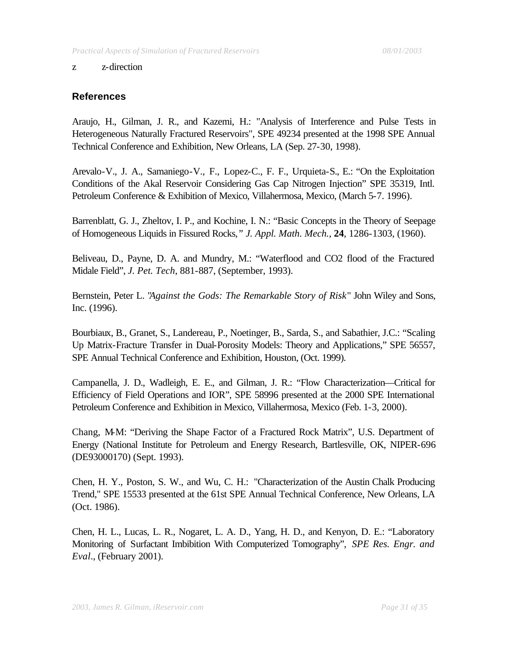#### z z-direction

#### **References**

Araujo, H., Gilman, J. R., and Kazemi, H.: "Analysis of Interference and Pulse Tests in Heterogeneous Naturally Fractured Reservoirs", SPE 49234 presented at the 1998 SPE Annual Technical Conference and Exhibition, New Orleans, LA (Sep. 27-30, 1998).

Arevalo-V., J. A., Samaniego-V., F., Lopez-C., F. F., Urquieta-S., E.: "On the Exploitation Conditions of the Akal Reservoir Considering Gas Cap Nitrogen Injection" SPE 35319, Intl. Petroleum Conference & Exhibition of Mexico, Villahermosa, Mexico, (March 5-7. 1996).

Barrenblatt, G. J., Zheltov, I. P., and Kochine, I. N.: "Basic Concepts in the Theory of Seepage of Homogeneous Liquids in Fissured Rocks*," J. Appl. Math. Mech.*, **24**, 1286-1303, (1960).

Beliveau, D., Payne, D. A. and Mundry, M.: "Waterflood and CO2 flood of the Fractured Midale Field", *J. Pet. Tech*, 881-887, (September, 1993).

Bernstein, Peter L. "*Against the Gods: The Remarkable Story of Risk*" John Wiley and Sons, Inc. (1996).

Bourbiaux, B., Granet, S., Landereau, P., Noetinger, B., Sarda, S., and Sabathier, J.C.: "Scaling Up Matrix-Fracture Transfer in Dual-Porosity Models: Theory and Applications," SPE 56557, SPE Annual Technical Conference and Exhibition, Houston, (Oct. 1999).

Campanella, J. D., Wadleigh, E. E., and Gilman, J. R.: "Flow Characterization—Critical for Efficiency of Field Operations and IOR", SPE 58996 presented at the 2000 SPE International Petroleum Conference and Exhibition in Mexico, Villahermosa, Mexico (Feb. 1-3, 2000).

Chang, M-M: "Deriving the Shape Factor of a Fractured Rock Matrix", U.S. Department of Energy (National Institute for Petroleum and Energy Research, Bartlesville, OK, NIPER-696 (DE93000170) (Sept. 1993).

Chen, H. Y., Poston, S. W., and Wu, C. H.: "Characterization of the Austin Chalk Producing Trend," SPE 15533 presented at the 61st SPE Annual Technical Conference, New Orleans, LA (Oct. 1986).

Chen, H. L., Lucas, L. R., Nogaret, L. A. D., Yang, H. D., and Kenyon, D. E.: "Laboratory Monitoring of Surfactant Imbibition With Computerized Tomography", *SPE Res. Engr. and Eval*., (February 2001).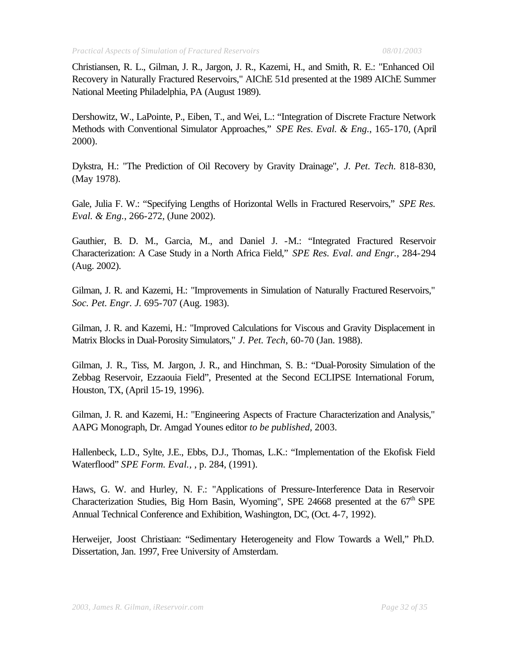Christiansen, R. L., Gilman, J. R., Jargon, J. R., Kazemi, H., and Smith, R. E.: "Enhanced Oil Recovery in Naturally Fractured Reservoirs," AIChE 51d presented at the 1989 AIChE Summer National Meeting Philadelphia, PA (August 1989).

Dershowitz, W., LaPointe, P., Eiben, T., and Wei, L.: "Integration of Discrete Fracture Network Methods with Conventional Simulator Approaches," *SPE Res. Eval. & Eng.*, 165-170, (April 2000).

Dykstra, H.: "The Prediction of Oil Recovery by Gravity Drainage", *J. Pet. Tech.* 818-830, (May 1978).

Gale, Julia F. W.: "Specifying Lengths of Horizontal Wells in Fractured Reservoirs," *SPE Res. Eval. & Eng.*, 266-272, (June 2002).

Gauthier, B. D. M., Garcia, M., and Daniel J. -M.: "Integrated Fractured Reservoir Characterization: A Case Study in a North Africa Field," *SPE Res. Eval. and Engr.*, 284-294 (Aug. 2002).

Gilman, J. R. and Kazemi, H.: "Improvements in Simulation of Naturally Fractured Reservoirs," *Soc. Pet. Engr. J.* 695-707 (Aug. 1983).

Gilman, J. R. and Kazemi, H.: "Improved Calculations for Viscous and Gravity Displacement in Matrix Blocks in Dual-Porosity Simulators," *J. Pet. Tech*, 60-70 (Jan. 1988).

Gilman, J. R., Tiss, M. Jargon, J. R., and Hinchman, S. B.: "Dual-Porosity Simulation of the Zebbag Reservoir, Ezzaouia Field", Presented at the Second ECLIPSE International Forum, Houston, TX, (April 15-19, 1996).

Gilman, J. R. and Kazemi, H.: "Engineering Aspects of Fracture Characterization and Analysis," AAPG Monograph, Dr. Amgad Younes editor *to be published,* 2003.

Hallenbeck, L.D., Sylte, J.E., Ebbs, D.J., Thomas, L.K.: "Implementation of the Ekofisk Field Waterflood" *SPE Form. Eval.,* , p. 284, (1991).

Haws, G. W. and Hurley, N. F.: "Applications of Pressure-Interference Data in Reservoir Characterization Studies, Big Horn Basin, Wyoming", SPE 24668 presented at the  $67<sup>th</sup>$  SPE Annual Technical Conference and Exhibition, Washington, DC, (Oct. 4-7, 1992).

Herweijer, Joost Christiaan: "Sedimentary Heterogeneity and Flow Towards a Well," Ph.D. Dissertation, Jan. 1997, Free University of Amsterdam.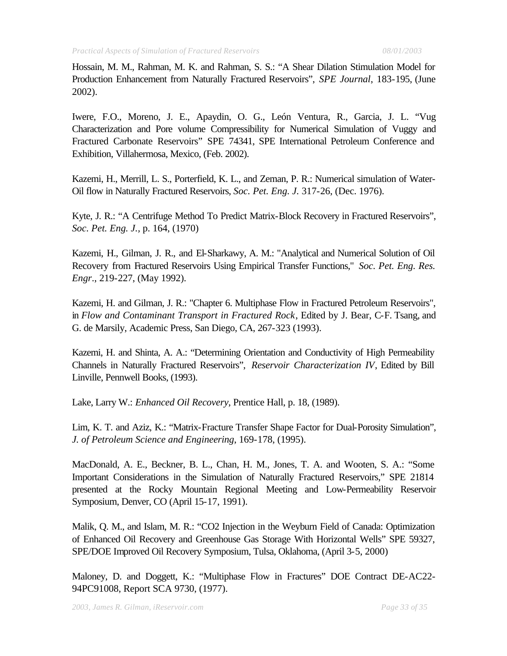Hossain, M. M., Rahman, M. K. and Rahman, S. S.: "A Shear Dilation Stimulation Model for Production Enhancement from Naturally Fractured Reservoirs", *SPE Journal*, 183-195, (June 2002).

Iwere, F.O., Moreno, J. E., Apaydin, O. G., León Ventura, R., Garcia, J. L. "Vug Characterization and Pore volume Compressibility for Numerical Simulation of Vuggy and Fractured Carbonate Reservoirs" SPE 74341, SPE International Petroleum Conference and Exhibition, Villahermosa, Mexico, (Feb. 2002).

Kazemi, H., Merrill, L. S., Porterfield, K. L., and Zeman, P. R.: Numerical simulation of Water-Oil flow in Naturally Fractured Reservoirs, *Soc. Pet. Eng. J.* 317-26, (Dec. 1976).

Kyte, J. R.: "A Centrifuge Method To Predict Matrix-Block Recovery in Fractured Reservoirs", *Soc. Pet. Eng. J.,* p. 164, (1970)

Kazemi, H., Gilman, J. R., and El-Sharkawy, A. M.: "Analytical and Numerical Solution of Oil Recovery from Fractured Reservoirs Using Empirical Transfer Functions," *Soc. Pet. Eng. Res. Engr*., 219-227, (May 1992).

Kazemi, H. and Gilman, J. R.: "Chapter 6. Multiphase Flow in Fractured Petroleum Reservoirs", in *Flow and Contaminant Transport in Fractured Rock*, Edited by J. Bear, C-F. Tsang, and G. de Marsily, Academic Press, San Diego, CA, 267-323 (1993).

Kazemi, H. and Shinta, A. A.: "Determining Orientation and Conductivity of High Permeability Channels in Naturally Fractured Reservoirs", *Reservoir Characterization IV*, Edited by Bill Linville, Pennwell Books, (1993).

Lake, Larry W.: *Enhanced Oil Recovery*, Prentice Hall, p. 18, (1989).

Lim, K. T. and Aziz, K.: "Matrix-Fracture Transfer Shape Factor for Dual-Porosity Simulation", *J. of Petroleum Science and Engineering*, 169-178, (1995).

MacDonald, A. E., Beckner, B. L., Chan, H. M., Jones, T. A. and Wooten, S. A.: "Some Important Considerations in the Simulation of Naturally Fractured Reservoirs," SPE 21814 presented at the Rocky Mountain Regional Meeting and Low-Permeability Reservoir Symposium, Denver, CO (April 15-17, 1991).

Malik, Q. M., and Islam, M. R.: "CO2 Injection in the Weyburn Field of Canada: Optimization of Enhanced Oil Recovery and Greenhouse Gas Storage With Horizontal Wells" SPE 59327, SPE/DOE Improved Oil Recovery Symposium, Tulsa, Oklahoma, (April 3-5, 2000)

Maloney, D. and Doggett, K.: "Multiphase Flow in Fractures" DOE Contract DE-AC22- 94PC91008, Report SCA 9730, (1977).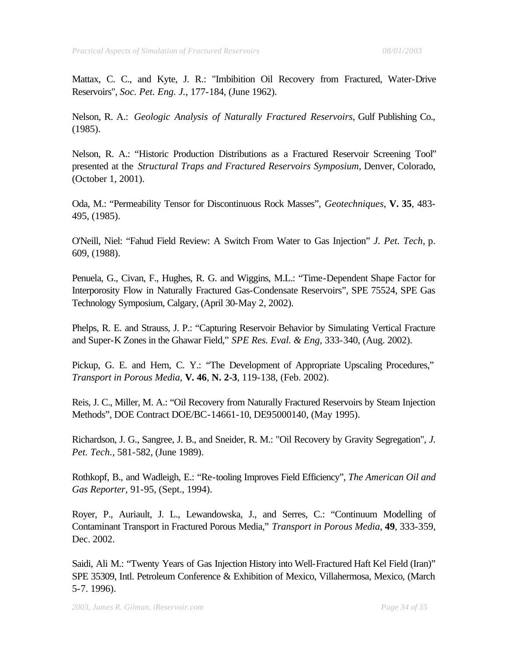Mattax, C. C., and Kyte, J. R.: "Imbibition Oil Recovery from Fractured, Water-Drive Reservoirs", *Soc. Pet. Eng. J.*, 177-184, (June 1962).

Nelson, R. A.: *Geologic Analysis of Naturally Fractured Reservoirs*, Gulf Publishing Co., (1985).

Nelson, R. A.: "Historic Production Distributions as a Fractured Reservoir Screening Tool" presented at the *Structural Traps and Fractured Reservoirs Symposium*, Denver, Colorado, (October 1, 2001).

Oda, M.: "Permeability Tensor for Discontinuous Rock Masses", *Geotechniques*, **V. 35**, 483- 495, (1985).

O'Neill, Niel: "Fahud Field Review: A Switch From Water to Gas Injection" *J. Pet. Tech*, p. 609, (1988).

Penuela, G., Civan, F., Hughes, R. G. and Wiggins, M.L.: "Time-Dependent Shape Factor for Interporosity Flow in Naturally Fractured Gas-Condensate Reservoirs", SPE 75524, SPE Gas Technology Symposium, Calgary, (April 30-May 2, 2002).

Phelps, R. E. and Strauss, J. P.: "Capturing Reservoir Behavior by Simulating Vertical Fracture and Super-K Zones in the Ghawar Field," *SPE Res. Eval. & Eng,* 333-340, (Aug. 2002).

Pickup, G. E. and Hern, C. Y.: "The Development of Appropriate Upscaling Procedures," *Transport in Porous Media*, **V. 46**, **N. 2-3**, 119-138, (Feb. 2002).

Reis, J. C., Miller, M. A.: "Oil Recovery from Naturally Fractured Reservoirs by Steam Injection Methods", DOE Contract DOE/BC-14661-10, DE95000140, (May 1995).

Richardson, J. G., Sangree, J. B., and Sneider, R. M.: "Oil Recovery by Gravity Segregation", *J. Pet. Tech.,* 581-582, (June 1989).

Rothkopf, B., and Wadleigh, E.: "Re-tooling Improves Field Efficiency", *The American Oil and Gas Reporter*, 91-95, (Sept., 1994).

Royer, P., Auriault, J. L., Lewandowska, J., and Serres, C.: "Continuum Modelling of Contaminant Transport in Fractured Porous Media," *Transport in Porous Media*, **49**, 333-359, Dec. 2002.

Saidi, Ali M.: "Twenty Years of Gas Injection History into Well-Fractured Haft Kel Field (Iran)" SPE 35309, Intl. Petroleum Conference & Exhibition of Mexico, Villahermosa, Mexico, (March 5-7. 1996).